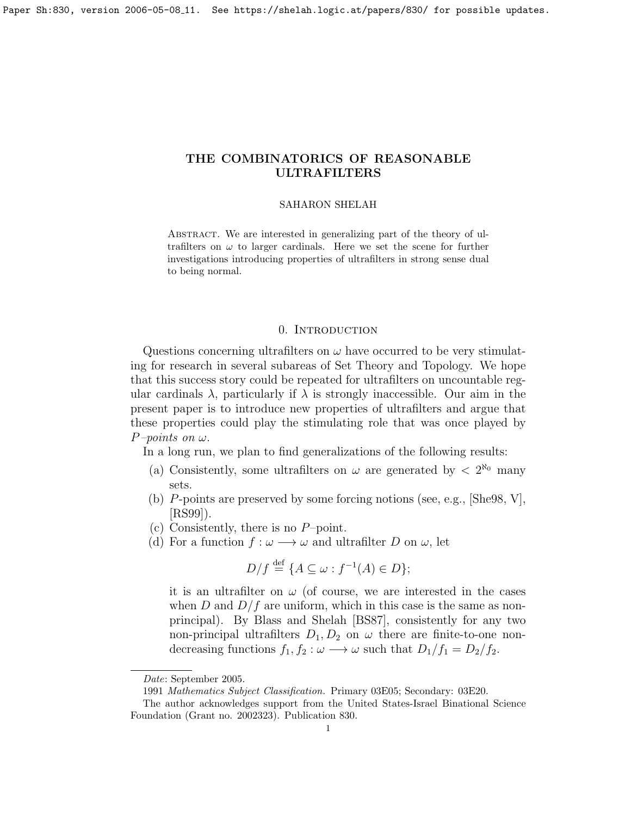#### SAHARON SHELAH

<span id="page-0-0"></span>ABSTRACT. We are interested in generalizing part of the theory of ultrafilters on  $\omega$  to larger cardinals. Here we set the scene for further investigations introducing properties of ultrafilters in strong sense dual to being normal.

# 0. Introduction

Questions concerning ultrafilters on  $\omega$  have occurred to be very stimulating for research in several subareas of Set Theory and Topology. We hope that this success story could be repeated for ultrafilters on uncountable regular cardinals  $\lambda$ , particularly if  $\lambda$  is strongly inaccessible. Our aim in the present paper is to introduce new properties of ultrafilters and argue that these properties could play the stimulating role that was once played by  $P$ -points on  $\omega$ .

In a long run, we plan to find generalizations of the following results:

- (a) Consistently, some ultrafilters on  $\omega$  are generated by  $\langle 2^{\aleph_0} \rangle$  many sets.
- (b) P-points are preserved by some forcing notions (see, e.g., [\[She98,](#page-23-0) V], [\[RS99\]](#page-22-0)).
- (c) Consistently, there is no P–point.
- (d) For a function  $f : \omega \longrightarrow \omega$  and ultrafilter D on  $\omega$ , let

$$
D/f \stackrel{\text{def}}{=} \{ A \subseteq \omega : f^{-1}(A) \in D \};
$$

it is an ultrafilter on  $\omega$  (of course, we are interested in the cases when  $D$  and  $D/f$  are uniform, which in this case is the same as nonprincipal). By Blass and Shelah [\[BS87\]](#page-22-1), consistently for any two non-principal ultrafilters  $D_1, D_2$  on  $\omega$  there are finite-to-one nondecreasing functions  $f_1, f_2 : \omega \longrightarrow \omega$  such that  $D_1/f_1 = D_2/f_2$ .

Date: September 2005.

<sup>1991</sup> Mathematics Subject Classification. Primary 03E05; Secondary: 03E20.

The author acknowledges support from the United States-Israel Binational Science Foundation (Grant no. 2002323). Publication 830.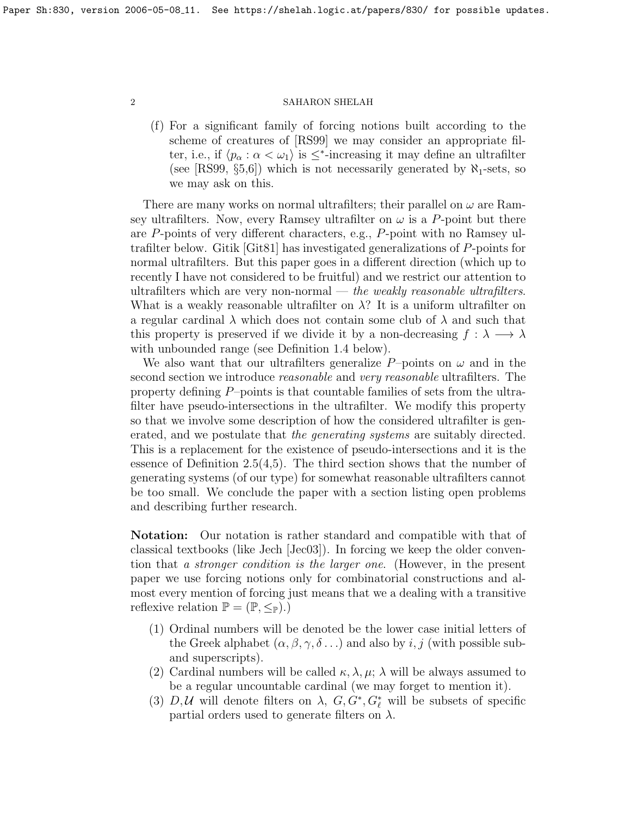(f) For a significant family of forcing notions built according to the scheme of creatures of [\[RS99\]](#page-22-0) we may consider an appropriate filter, i.e., if  $\langle p_{\alpha} : \alpha < \omega_1 \rangle$  is  $\leq^*$ -increasing it may define an ultrafilter (see [\[RS99,](#page-22-0)  $\S5,6$ ]) which is not necessarily generated by  $\aleph_1$ -sets, so we may ask on this.

There are many works on normal ultrafilters; their parallel on  $\omega$  are Ramsey ultrafilters. Now, every Ramsey ultrafilter on  $\omega$  is a P-point but there are P-points of very different characters, e.g., P-point with no Ramsey ultrafilter below. Gitik [\[Git81\]](#page-22-2) has investigated generalizations of P-points for normal ultrafilters. But this paper goes in a different direction (which up to recently I have not considered to be fruitful) and we restrict our attention to ultrafilters which are very non-normal — the weakly reasonable ultrafilters. What is a weakly reasonable ultrafilter on  $\lambda$ ? It is a uniform ultrafilter on a regular cardinal  $\lambda$  which does not contain some club of  $\lambda$  and such that this property is preserved if we divide it by a non-decreasing  $f : \lambda \longrightarrow \lambda$ with unbounded range (see Definition [1.4](#page-3-0) below).

We also want that our ultrafilters generalize P–points on  $\omega$  and in the second section we introduce reasonable and very reasonable ultrafilters. The property defining P–points is that countable families of sets from the ultrafilter have pseudo-intersections in the ultrafilter. We modify this property so that we involve some description of how the considered ultrafilter is generated, and we postulate that the generating systems are suitably directed. This is a replacement for the existence of pseudo-intersections and it is the essence of Definition [2.5\(](#page-0-0)4,5). The third section shows that the number of generating systems (of our type) for somewhat reasonable ultrafilters cannot be too small. We conclude the paper with a section listing open problems and describing further research.

Notation: Our notation is rather standard and compatible with that of classical textbooks (like Jech [\[Jec03\]](#page-22-3)). In forcing we keep the older convention that a stronger condition is the larger one. (However, in the present paper we use forcing notions only for combinatorial constructions and almost every mention of forcing just means that we a dealing with a transitive reflexive relation  $\mathbb{P} = (\mathbb{P}, \leq_{\mathbb{P}}).$ 

- (1) Ordinal numbers will be denoted be the lower case initial letters of the Greek alphabet  $(\alpha, \beta, \gamma, \delta ...)$  and also by i, j (with possible suband superscripts).
- (2) Cardinal numbers will be called  $\kappa, \lambda, \mu; \lambda$  will be always assumed to be a regular uncountable cardinal (we may forget to mention it).
- (3)  $D, U$  will denote filters on  $\lambda$ ,  $G, G^*, G^*_{\ell}$  will be subsets of specific partial orders used to generate filters on  $\lambda$ .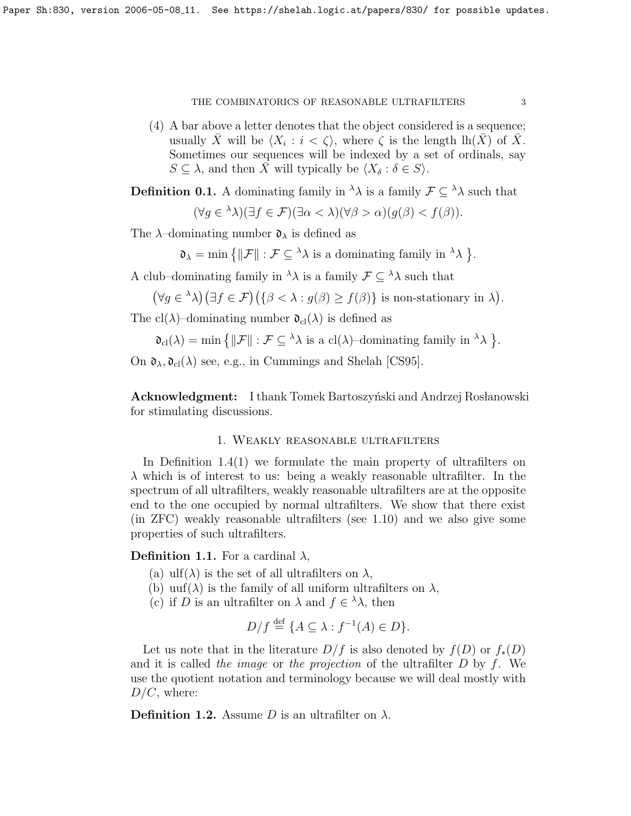(4) A bar above a letter denotes that the object considered is a sequence; usually  $\bar{X}$  will be  $\langle X_i : i < \zeta \rangle$ , where  $\zeta$  is the length  $lh(\bar{X})$  of  $\bar{X}$ . Sometimes our sequences will be indexed by a set of ordinals, say  $S \subseteq \lambda$ , and then  $\overline{X}$  will typically be  $\langle X_{\delta} : \delta \in S \rangle$ .

**Definition 0.1.** A dominating family in  $\lambda \lambda$  is a family  $\mathcal{F} \subseteq \lambda \lambda$  such that

$$
(\forall g \in {}^{\lambda}\lambda)(\exists f \in \mathcal{F})(\exists \alpha < \lambda)(\forall \beta > \alpha)(g(\beta) < f(\beta)).
$$

The  $\lambda$ -dominating number  $\mathfrak{d}_{\lambda}$  is defined as

 $\mathfrak{d}_{\lambda} = \min \{ \Vert \mathcal{F} \Vert : \mathcal{F} \subseteq {}^{\lambda} \lambda \text{ is a dominating family in } {}^{\lambda} \lambda \}$ .

A club–dominating family in  $\lambda \lambda$  is a family  $\mathcal{F} \subseteq \lambda \lambda$  such that

$$
(\forall g \in {}^{\lambda}\lambda)(\exists f \in \mathcal{F}) (\{\beta < \lambda : g(\beta) \ge f(\beta)\}\text{ is non-stationary in }\lambda).
$$

The cl( $\lambda$ )–dominating number  $\mathfrak{d}_{cl}(\lambda)$  is defined as

$$
\mathfrak{d}_{\mathrm{cl}}(\lambda)=\min\big\{\|\mathcal{F}\|:\mathcal{F}\subseteq {}^{\lambda}\lambda\text{ is a}\mathrm{cl}(\lambda)-dominating family\text{ in }{}^{\lambda}\lambda\big\}.
$$

On  $\mathfrak{d}_{\lambda}, \mathfrak{d}_{\text{cl}}(\lambda)$  see, e.g., in Cummings and Shelah [\[CS95\]](#page-22-4).

**Acknowledgment:** I thank Tomek Bartoszyński and Andrzej Rosłanowski for stimulating discussions.

# 1. Weakly reasonable ultrafilters

In Definition [1.4\(](#page-3-0)1) we formulate the main property of ultrafilters on  $\lambda$  which is of interest to us: being a weakly reasonable ultrafilter. In the spectrum of all ultrafilters, weakly reasonable ultrafilters are at the opposite end to the one occupied by normal ultrafilters. We show that there exist (in ZFC) weakly reasonable ultrafilters (see [1.10\)](#page-6-0) and we also give some properties of such ultrafilters.

**Definition 1.1.** For a cardinal  $\lambda$ ,

- (a) ulf( $\lambda$ ) is the set of all ultrafilters on  $\lambda$ ,
- (b) uuf( $\lambda$ ) is the family of all uniform ultrafilters on  $\lambda$ ,
- (c) if D is an ultrafilter on  $\lambda$  and  $f \in {}^{\lambda} \lambda$ , then

$$
D/f \stackrel{\text{def}}{=} \{ A \subseteq \lambda : f^{-1}(A) \in D \}.
$$

Let us note that in the literature  $D/f$  is also denoted by  $f(D)$  or  $f_*(D)$ and it is called the *image* or the projection of the ultrafilter  $D$  by  $f$ . We use the quotient notation and terminology because we will deal mostly with  $D/C$ , where:

**Definition 1.2.** Assume D is an ultrafilter on  $\lambda$ .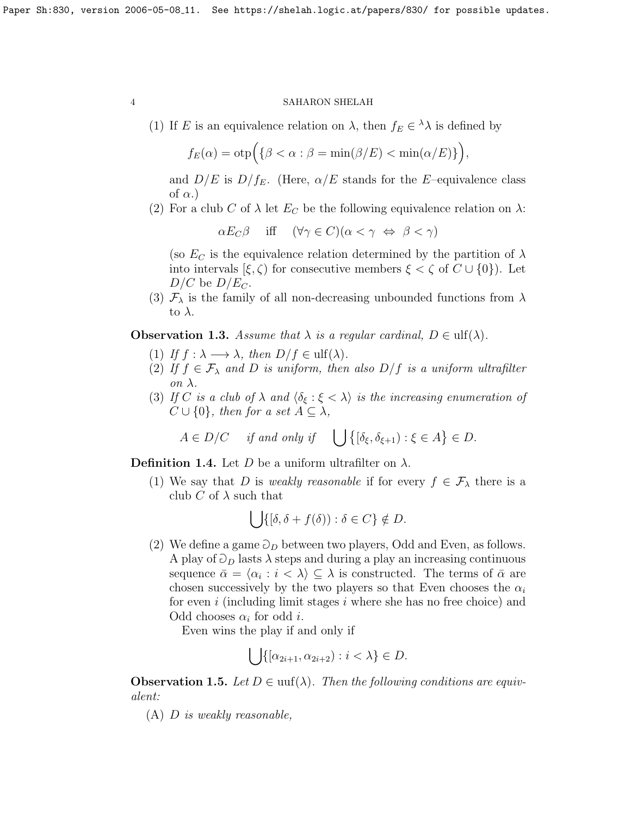(1) If E is an equivalence relation on  $\lambda$ , then  $f_E \in \lambda \lambda$  is defined by

$$
f_E(\alpha) = \sup \Big( \{ \beta < \alpha : \beta = \min(\beta/E) < \min(\alpha/E) \} \Big),
$$

and  $D/E$  is  $D/f_E$ . (Here,  $\alpha/E$  stands for the E–equivalence class of  $\alpha$ .)

(2) For a club C of  $\lambda$  let  $E_C$  be the following equivalence relation on  $\lambda$ :

 $\alpha E_C \beta$  iff  $(\forall \gamma \in C)(\alpha < \gamma \Leftrightarrow \beta < \gamma)$ 

(so  $E_C$  is the equivalence relation determined by the partition of  $\lambda$ into intervals  $[\xi, \zeta)$  for consecutive members  $\xi < \zeta$  of  $C \cup \{0\}$ . Let  $D/C$  be  $D/E_C$ .

(3)  $\mathcal{F}_{\lambda}$  is the family of all non-decreasing unbounded functions from  $\lambda$ to  $\lambda$ .

**Observation 1.3.** Assume that  $\lambda$  is a regular cardinal,  $D \in \text{ulf}(\lambda)$ .

- (1) If  $f : \lambda \longrightarrow \lambda$ , then  $D/f \in \text{ulf}(\lambda)$ .
- (2) If  $f \in \mathcal{F}_{\lambda}$  and D is uniform, then also  $D/f$  is a uniform ultrafilter on λ.
- (3) If C is a club of  $\lambda$  and  $\langle \delta_{\xi} : \xi < \lambda \rangle$  is the increasing enumeration of  $C \cup \{0\}$ , then for a set  $A \subseteq \lambda$ ,
	- $A \in D/C$  if and only if  $\bigcup \{ [\delta_{\xi}, \delta_{\xi+1}) : \xi \in A \} \in D.$

<span id="page-3-0"></span>**Definition 1.4.** Let D be a uniform ultrafilter on  $\lambda$ .

(1) We say that D is weakly reasonable if for every  $f \in \mathcal{F}_{\lambda}$  there is a club C of  $\lambda$  such that

$$
\bigcup \{ [\delta, \delta + f(\delta)) : \delta \in C \} \notin D.
$$

(2) We define a game  $\mathcal{O}_D$  between two players, Odd and Even, as follows. A play of  $\mathcal{O}_D$  lasts  $\lambda$  steps and during a play an increasing continuous sequence  $\bar{\alpha} = \langle \alpha_i : i \langle \lambda \rangle \subseteq \lambda$  is constructed. The terms of  $\bar{\alpha}$  are chosen successively by the two players so that Even chooses the  $\alpha_i$ for even i (including limit stages i where she has no free choice) and Odd chooses  $\alpha_i$  for odd *i*.

Even wins the play if and only if

$$
\bigcup \{ [\alpha_{2i+1}, \alpha_{2i+2}) : i < \lambda \} \in D.
$$

<span id="page-3-1"></span>**Observation 1.5.** Let  $D \in \text{uuf}(\lambda)$ . Then the following conditions are equivalent:

(A) D is weakly reasonable,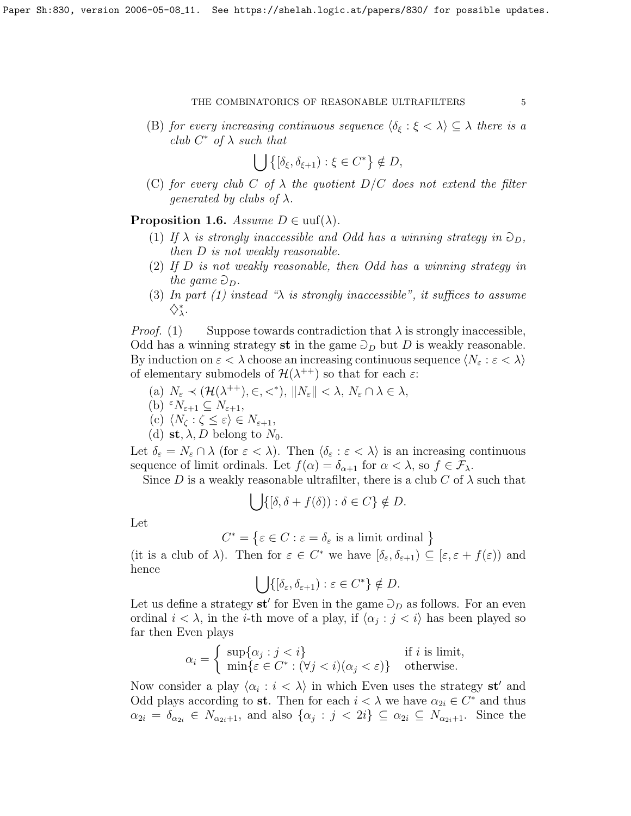(B) for every increasing continuous sequence  $\langle \delta_{\xi} : \xi < \lambda \rangle \subseteq \lambda$  there is a club  $C^*$  of  $\lambda$  such that

$$
\bigcup \big\{ [\delta_{\xi}, \delta_{\xi+1}) : \xi \in C^* \big\} \notin D,
$$

(C) for every club C of  $\lambda$  the quotient  $D/C$  does not extend the filter generated by clubs of  $\lambda$ .

<span id="page-4-0"></span>**Proposition 1.6.** Assume  $D \in \text{uuf}(\lambda)$ .

- (1) If  $\lambda$  is strongly inaccessible and Odd has a winning strategy in  $\mathcal{D}_D$ , then D is not weakly reasonable.
- (2) If D is not weakly reasonable, then Odd has a winning strategy in the game  $\mathcal{D}_D$ .
- (3) In part (1) instead " $\lambda$  is strongly inaccessible", it suffices to assume  $\diamondsuit^*_\lambda.$

*Proof.* (1) Suppose towards contradiction that  $\lambda$  is strongly inaccessible, Odd has a winning strategy st in the game  $\partial_D$  but D is weakly reasonable. By induction on  $\varepsilon < \lambda$  choose an increasing continuous sequence  $\langle N_{\varepsilon} : \varepsilon < \lambda \rangle$ of elementary submodels of  $\mathcal{H}(\lambda^{++})$  so that for each  $\varepsilon$ :

- (a)  $N_{\varepsilon} \prec (\mathcal{H}(\lambda^{++}), \in, <^*)$ ,  $||N_{\varepsilon}|| < \lambda$ ,  $N_{\varepsilon} \cap \lambda \in \lambda$ ,
- (b)  $^{\varepsilon}N_{\varepsilon+1} \subseteq N_{\varepsilon+1}$ ,
- (c)  $\langle N_{\zeta} : \zeta \leq \varepsilon \rangle \in N_{\varepsilon+1},$
- (d) st,  $\lambda$ , D belong to  $N_0$ .

Let  $\delta_{\varepsilon} = N_{\varepsilon} \cap \lambda$  (for  $\varepsilon < \lambda$ ). Then  $\langle \delta_{\varepsilon} : \varepsilon < \lambda \rangle$  is an increasing continuous sequence of limit ordinals. Let  $f(\alpha) = \delta_{\alpha+1}$  for  $\alpha < \lambda$ , so  $f \in \mathcal{F}_{\lambda}$ .

Since D is a weakly reasonable ultrafilter, there is a club C of  $\lambda$  such that

$$
\bigcup \{ [\delta, \delta + f(\delta)) : \delta \in C \} \notin D.
$$

Let

 $C^* = \{\varepsilon \in C : \varepsilon = \delta_{\varepsilon} \text{ is a limit ordinal }\}$ 

(it is a club of  $\lambda$ ). Then for  $\varepsilon \in C^*$  we have  $[\delta_{\varepsilon}, \delta_{\varepsilon+1}) \subseteq [\varepsilon, \varepsilon + f(\varepsilon))$  and hence

$$
\bigcup \{ [\delta_{\varepsilon}, \delta_{\varepsilon + 1}) : \varepsilon \in C^* \} \notin D.
$$

Let us define a strategy st' for Even in the game  $\mathfrak{O}_D$  as follows. For an even ordinal  $i < \lambda$ , in the *i*-th move of a play, if  $\langle \alpha_j : j < i \rangle$  has been played so far then Even plays

$$
\alpha_i = \begin{cases} \sup\{\alpha_j : j < i\} \\ \min\{\varepsilon \in C^* : (\forall j < i)(\alpha_j < \varepsilon)\} & \text{otherwise.} \end{cases}
$$

Now consider a play  $\langle \alpha_i : i \langle \lambda \rangle$  in which Even uses the strategy st' and Odd plays according to st. Then for each  $i < \lambda$  we have  $\alpha_{2i} \in C^*$  and thus  $\alpha_{2i} = \delta_{\alpha_{2i}} \in N_{\alpha_{2i}+1}$ , and also  $\{\alpha_j : j < 2i\} \subseteq \alpha_{2i} \subseteq N_{\alpha_{2i}+1}$ . Since the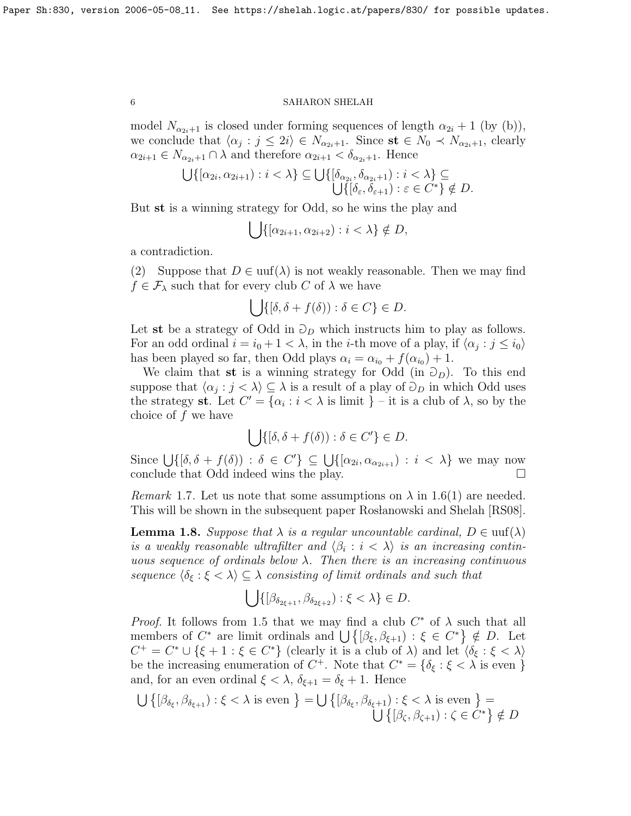model  $N_{\alpha_{2i}+1}$  is closed under forming sequences of length  $\alpha_{2i}+1$  (by (b)), we conclude that  $\langle \alpha_j : j \leq 2i \rangle \in N_{\alpha_{2i}+1}$ . Since  $st \in N_0 \prec N_{\alpha_{2i}+1}$ , clearly  $\alpha_{2i+1} \in N_{\alpha_{2i}+1} \cap \lambda$  and therefore  $\alpha_{2i+1} < \delta_{\alpha_{2i}+1}$ . Hence

$$
\bigcup \{ [\alpha_{2i}, \alpha_{2i+1}) : i < \lambda \} \subseteq \bigcup \{ [\delta_{\alpha_{2i}}, \delta_{\alpha_{2i}+1}) : i < \lambda \} \subseteq
$$
  

$$
\bigcup \{ [\delta_{\varepsilon}, \delta_{\varepsilon+1}) : \varepsilon \in C^* \} \notin D.
$$

But st is a winning strategy for Odd, so he wins the play and

$$
\bigcup \{ [\alpha_{2i+1}, \alpha_{2i+2}) : i < \lambda \} \notin D,
$$

a contradiction.

(2) Suppose that  $D \in \text{uuf}(\lambda)$  is not weakly reasonable. Then we may find  $f \in \mathcal{F}_{\lambda}$  such that for every club C of  $\lambda$  we have

$$
\bigcup \{ [\delta, \delta + f(\delta)) : \delta \in C \} \in D.
$$

Let st be a strategy of Odd in  $\mathcal{O}_D$  which instructs him to play as follows. For an odd ordinal  $i = i_0 + 1 < \lambda$ , in the *i*-th move of a play, if  $\langle \alpha_j : j \leq i_0 \rangle$ has been played so far, then Odd plays  $\alpha_i = \alpha_{i_0} + f(\alpha_{i_0}) + 1$ .

We claim that st is a winning strategy for Odd (in  $\mathcal{D}_D$ ). To this end suppose that  $\langle \alpha_j : j \langle \lambda \rangle \subseteq \lambda$  is a result of a play of  $\hat{\Theta}_D$  in which Odd uses the strategy st. Let  $C' = {\alpha_i : i < \lambda \text{ is limit }} -i$  is a club of  $\lambda$ , so by the choice of  $f$  we have

$$
\bigcup \{ [\delta, \delta + f(\delta)) : \delta \in C' \} \in D.
$$

Since  $\bigcup \{ [\delta, \delta + f(\delta)) : \delta \in C' \} \subseteq \bigcup \{ [\alpha_{2i}, \alpha_{\alpha_{2i+1}}) : i \langle \lambda \} \text{ we may now}$ conclude that Odd indeed wins the play.

*Remark* 1.7. Let us note that some assumptions on  $\lambda$  in [1.6\(](#page-4-0)1) are needed. This will be shown in the subsequent paper Ros lanowski and Shelah [\[RS08\]](#page-22-5).

<span id="page-5-0"></span>**Lemma 1.8.** Suppose that  $\lambda$  is a regular uncountable cardinal,  $D \in \text{uuf}(\lambda)$ is a weakly reasonable ultrafilter and  $\langle \beta_i : i \langle \lambda \rangle$  is an increasing continuous sequence of ordinals below  $\lambda$ . Then there is an increasing continuous sequence  $\langle \delta_{\xi} : \xi < \lambda \rangle \subseteq \lambda$  consisting of limit ordinals and such that

$$
\bigcup \{ [\beta_{\delta_{2\xi+1}}, \beta_{\delta_{2\xi+2}}) : \xi < \lambda \} \in D.
$$

*Proof.* It follows from [1.5](#page-3-1) that we may find a club  $C^*$  of  $\lambda$  such that all members of  $C^*$  are limit ordinals and  $\bigcup \{ [\beta_{\xi}, \beta_{\xi+1}) : \xi \in C^* \} \notin D$ . Let  $C^+ = C^* \cup \{\xi + 1 : \xi \in C^*\}$  (clearly it is a club of  $\lambda$ ) and let  $\langle \delta_{\xi} : \xi < \lambda \rangle$ be the increasing enumeration of  $C^+$ . Note that  $C^* = \{\delta_{\xi} : \xi < \lambda \text{ is even }\}$ and, for an even ordinal  $\xi < \lambda$ ,  $\delta_{\xi+1} = \delta_{\xi} + 1$ . Hence

$$
\bigcup \left\{ [\beta_{\delta_{\xi}}, \beta_{\delta_{\xi+1}}) : \xi < \lambda \text{ is even } \right\} = \bigcup \left\{ [\beta_{\delta_{\xi}}, \beta_{\delta_{\xi}+1}) : \xi < \lambda \text{ is even } \right\} = \bigcup \left\{ [\beta_{\zeta}, \beta_{\zeta+1}) : \zeta \in C^* \right\} \notin D
$$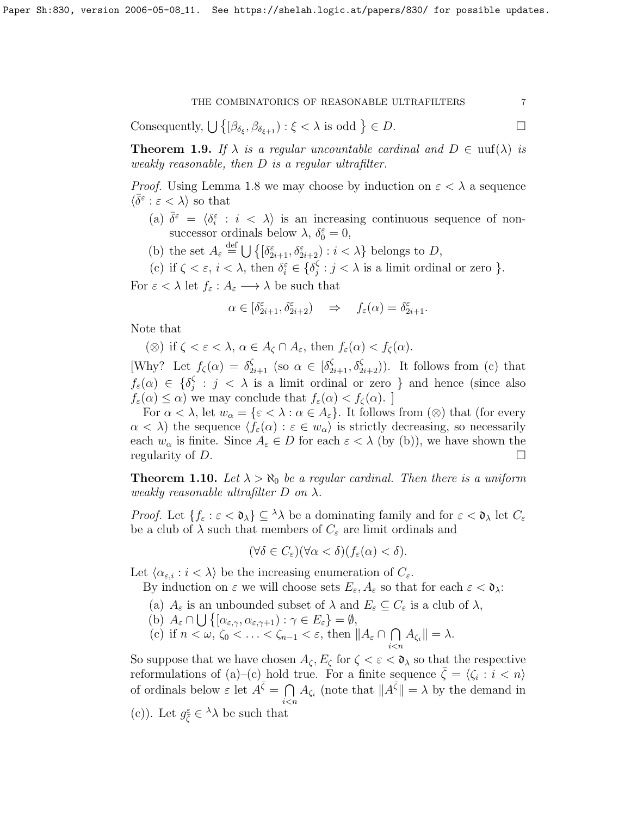Consequently,  $\bigcup \{ [\beta_{\delta_{\xi}}, \beta_{\delta_{\xi+1}}) : \xi < \lambda \text{ is odd } \} \in D.$ 

**Theorem 1.9.** If  $\lambda$  is a regular uncountable cardinal and  $D \in \text{uuf}(\lambda)$  is weakly reasonable, then D is a regular ultrafilter.

*Proof.* Using Lemma [1.8](#page-5-0) we may choose by induction on  $\varepsilon < \lambda$  a sequence  $\langle \bar{\delta}^{\varepsilon} : \varepsilon < \lambda \rangle$  so that

- (a)  $\bar{\delta}^{\varepsilon} = \langle \delta_i^{\varepsilon} : i \langle \lambda \rangle$  is an increasing continuous sequence of nonsuccessor ordinals below  $\lambda$ ,  $\delta_0^{\varepsilon} = 0$ ,
- (b) the set  $A_{\varepsilon} \stackrel{\text{def}}{=} \bigcup \{ \left[ \delta_{2i+1}^{\varepsilon}, \delta_{2i+2}^{\varepsilon} \right] : i < \lambda \}$  belongs to D,

(c) if  $\zeta < \varepsilon$ ,  $i < \lambda$ , then  $\delta_i^{\varepsilon} \in {\delta_j^{\zeta}}$  $\frac{\zeta}{j}$ :  $j < \lambda$  is a limit ordinal or zero }.

For  $\varepsilon < \lambda$  let  $f_{\varepsilon} : A_{\varepsilon} \longrightarrow \lambda$  be such that

$$
\alpha \in [\delta_{2i+1}^\varepsilon, \delta_{2i+2}^\varepsilon) \quad \Rightarrow \quad f_\varepsilon(\alpha) = \delta_{2i+1}^\varepsilon.
$$

Note that

(⊗) if  $\zeta < \varepsilon < \lambda$ ,  $\alpha \in A_{\zeta} \cap A_{\varepsilon}$ , then  $f_{\varepsilon}(\alpha) < f_{\zeta}(\alpha)$ .

[Why? Let  $f_{\zeta}(\alpha) = \delta_{2i+1}^{\zeta}$  (so  $\alpha \in [\delta_{2i+1}^{\zeta}, \delta_{2i+2}^{\zeta})$ ). It follows from (c) that  $f_{\varepsilon}(\alpha) \in {\delta_{i}^{\zeta}}$  $j \in j \leq \lambda$  is a limit ordinal or zero } and hence (since also  $f_{\varepsilon}(\alpha) \leq \alpha$  we may conclude that  $f_{\varepsilon}(\alpha) < f_{\zeta}(\alpha)$ .

For  $\alpha < \lambda$ , let  $w_{\alpha} = \{ \varepsilon < \lambda : \alpha \in A_{\varepsilon} \}$ . It follows from  $(\otimes)$  that (for every  $\alpha < \lambda$ ) the sequence  $\langle f_{\varepsilon}(\alpha) : \varepsilon \in w_{\alpha} \rangle$  is strictly decreasing, so necessarily each  $w_{\alpha}$  is finite. Since  $A_{\varepsilon} \in D$  for each  $\varepsilon < \lambda$  (by (b)), we have shown the regularity of  $D$ .

<span id="page-6-0"></span>**Theorem 1.10.** Let  $\lambda > \aleph_0$  be a regular cardinal. Then there is a uniform weakly reasonable ultrafilter  $D$  on  $\lambda$ .

*Proof.* Let  $\{f_{\varepsilon} : \varepsilon < \mathfrak{d}_{\lambda}\} \subseteq {}^{\lambda} \lambda$  be a dominating family and for  $\varepsilon < \mathfrak{d}_{\lambda}$  let  $C_{\varepsilon}$ be a club of  $\lambda$  such that members of  $C_{\varepsilon}$  are limit ordinals and

$$
(\forall \delta \in C_{\varepsilon})(\forall \alpha < \delta)(f_{\varepsilon}(\alpha) < \delta).
$$

Let  $\langle \alpha_{\varepsilon,i} : i < \lambda \rangle$  be the increasing enumeration of  $C_{\varepsilon}$ .

By induction on  $\varepsilon$  we will choose sets  $E_{\varepsilon}$ ,  $A_{\varepsilon}$  so that for each  $\varepsilon < \mathfrak{d}_{\lambda}$ :

- (a)  $A_{\varepsilon}$  is an unbounded subset of  $\lambda$  and  $E_{\varepsilon} \subseteq C_{\varepsilon}$  is a club of  $\lambda$ ,
- (b)  $A_{\varepsilon} \cap \bigcup \{ [\alpha_{\varepsilon,\gamma}, \alpha_{\varepsilon,\gamma+1}) : \gamma \in E_{\varepsilon} \} = \emptyset,$
- (c) if  $n < \omega, \zeta_0 < \ldots < \zeta_{n-1} < \varepsilon$ , then  $||A_{\varepsilon} \cap \bigcap$  $\bigcap_{i$

So suppose that we have chosen  $A_{\zeta}, E_{\zeta}$  for  $\zeta < \varepsilon < \mathfrak{d}_{\lambda}$  so that the respective reformulations of (a)–(c) hold true. For a finite sequence  $\bar{\zeta} = \langle \zeta_i : i \langle n \rangle$ of ordinals below  $\varepsilon$  let  $A^{\bar{\zeta}} = \bigcap$  $\bigcap_{i \leq n} A_{\zeta_i}$  (note that  $||A^{\overline{\zeta}}|| = \lambda$  by the demand in (c)). Let  $g_{\overline{\zeta}} \in {}^{\lambda} \lambda$  be such that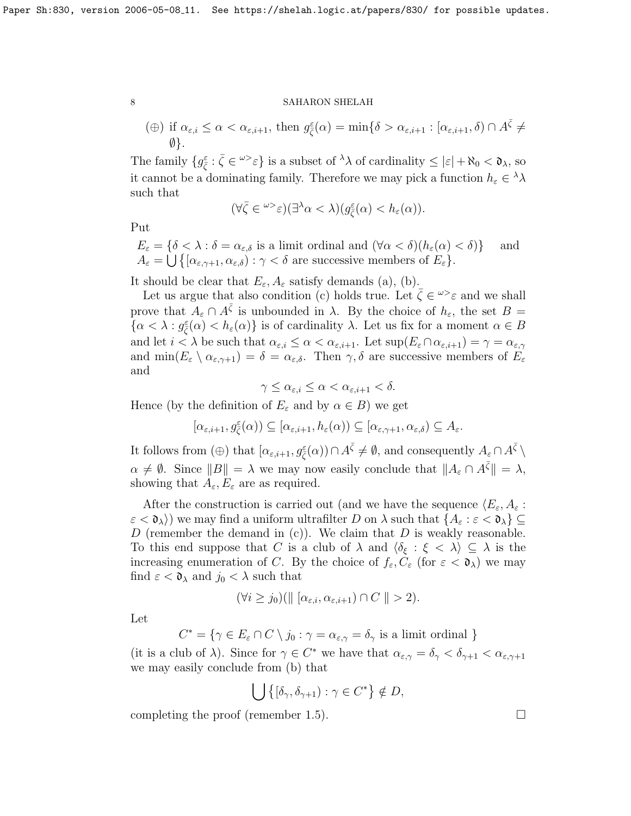$$
(\oplus) \text{ if } \alpha_{\varepsilon,i} \leq \alpha < \alpha_{\varepsilon,i+1}, \text{ then } g_{\bar{\zeta}}^{\varepsilon}(\alpha) = \min\{\delta > \alpha_{\varepsilon,i+1} : [\alpha_{\varepsilon,i+1}, \delta) \cap A^{\bar{\zeta}} \neq \emptyset\}.
$$

The family  $\{g_{\bar{\zeta}}^{\varepsilon} : \bar{\zeta} \in {}^{\omega >}\varepsilon\}$  is a subset of  $\lambda\lambda$  of cardinality  $\leq |\varepsilon| + \aleph_0 < \mathfrak{d}_\lambda$ , so it cannot be a dominating family. Therefore we may pick a function  $h_{\varepsilon} \in {}^{\lambda} \lambda$ such that

$$
(\forall \bar{\zeta} \in {}^{\omega>} \varepsilon)(\exists^{\lambda} \alpha < \lambda)(g_{\bar{\zeta}}^{\varepsilon}(\alpha) < h_{\varepsilon}(\alpha)).
$$

Put

$$
E_{\varepsilon} = \{ \delta < \lambda : \delta = \alpha_{\varepsilon,\delta} \text{ is a limit ordinal and } (\forall \alpha < \delta) (h_{\varepsilon}(\alpha) < \delta) \} \quad \text{and} \quad A_{\varepsilon} = \bigcup \{ [\alpha_{\varepsilon,\gamma+1}, \alpha_{\varepsilon,\delta}) : \gamma < \delta \text{ are successive members of } E_{\varepsilon} \}.
$$

It should be clear that  $E_{\varepsilon}$ ,  $A_{\varepsilon}$  satisfy demands (a), (b).

Let us argue that also condition (c) holds true. Let  $\bar{\zeta} \in \omega >_{\varepsilon}$  and we shall prove that  $A_{\varepsilon} \cap A^{\bar{\zeta}}$  is unbounded in  $\lambda$ . By the choice of  $h_{\varepsilon}$ , the set  $B =$  $\{\alpha < \lambda : g_{\zeta}^{\varepsilon}(\alpha) < h_{\varepsilon}(\alpha)\}\$ is of cardinality  $\lambda$ . Let us fix for a moment  $\alpha \in B$ and let  $i < \lambda$  be such that  $\alpha_{\varepsilon,i} \leq \alpha < \alpha_{\varepsilon,i+1}$ . Let  $\sup(E_{\varepsilon} \cap \alpha_{\varepsilon,i+1}) = \gamma = \alpha_{\varepsilon,\gamma}$ and  $\min(E_{\varepsilon} \setminus \alpha_{\varepsilon,\gamma+1}) = \delta = \alpha_{\varepsilon,\delta}$ . Then  $\gamma, \delta$  are successive members of  $E_{\varepsilon}$ and

$$
\gamma \leq \alpha_{\varepsilon,i} \leq \alpha < \alpha_{\varepsilon,i+1} < \delta.
$$

Hence (by the definition of  $E_{\varepsilon}$  and by  $\alpha \in B$ ) we get

$$
[\alpha_{\varepsilon,i+1},g^\varepsilon_\zeta(\alpha))\subseteq [\alpha_{\varepsilon,i+1},h_\varepsilon(\alpha))\subseteq [\alpha_{\varepsilon,\gamma+1},\alpha_{\varepsilon,\delta})\subseteq A_\varepsilon.
$$

It follows from (⊕) that  $[\alpha_{\varepsilon,i+1}, g_{\overline{\zeta}}^{\varepsilon}(\alpha)) \cap A^{\overline{\zeta}} \neq \emptyset$ , and consequently  $A_{\varepsilon} \cap A^{\overline{\zeta}} \setminus \overline{\zeta}$  $\alpha \neq \emptyset$ . Since  $||B|| = \lambda$  we may now easily conclude that  $||A_{\varepsilon} \cap A^{\overline{\zeta}}|| = \lambda$ , showing that  $A_{\varepsilon}$ ,  $E_{\varepsilon}$  are as required.

After the construction is carried out (and we have the sequence  $\langle E_{\varepsilon}, A_{\varepsilon} \rangle$ :  $\varepsilon < \mathfrak{d}_{\lambda}$ ) we may find a uniform ultrafilter D on  $\lambda$  such that  $\{A_{\varepsilon} : \varepsilon < \mathfrak{d}_{\lambda}\}\subseteq$ D (remember the demand in  $(c)$ ). We claim that D is weakly reasonable. To this end suppose that C is a club of  $\lambda$  and  $\langle \delta_{\xi} : \xi < \lambda \rangle \subseteq \lambda$  is the increasing enumeration of C. By the choice of  $f_{\varepsilon}, C_{\varepsilon}$  (for  $\varepsilon < \mathfrak{d}_{\lambda}$ ) we may find  $\varepsilon < \mathfrak{d}_{\lambda}$  and  $j_0 < \lambda$  such that

$$
(\forall i \geq j_0)(\parallel [\alpha_{\varepsilon,i}, \alpha_{\varepsilon,i+1}) \cap C \parallel > 2).
$$

Let

$$
C^* = \{ \gamma \in E_{\varepsilon} \cap C \setminus j_0 : \gamma = \alpha_{\varepsilon, \gamma} = \delta_{\gamma} \text{ is a limit ordinal } \}
$$

(it is a club of  $\lambda$ ). Since for  $\gamma \in C^*$  we have that  $\alpha_{\varepsilon,\gamma} = \delta_{\gamma} < \delta_{\gamma+1} < \alpha_{\varepsilon,\gamma+1}$ we may easily conclude from (b) that

$$
\bigcup \big\{ [\delta_{\gamma}, \delta_{\gamma+1}) : \gamma \in C^* \big\} \notin D,
$$

completing the proof (remember [1.5\)](#page-3-1).  $\square$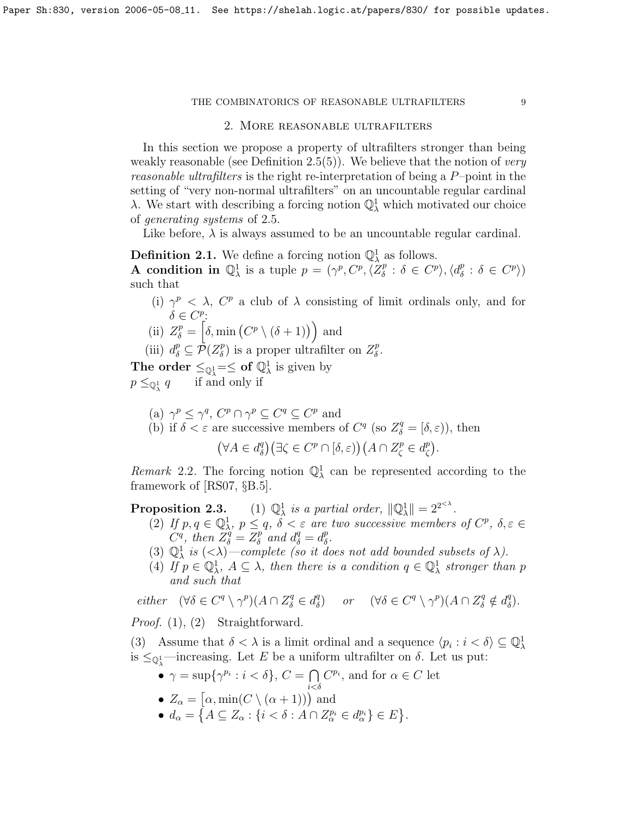# 2. More reasonable ultrafilters

In this section we propose a property of ultrafilters stronger than being weakly reasonable (see Definition [2.5\(](#page-0-0)5)). We believe that the notion of very reasonable ultrafilters is the right re-interpretation of being a P–point in the setting of "very non-normal ultrafilters" on an uncountable regular cardinal  $\lambda$ . We start with describing a forcing notion  $\mathbb{Q}^1_\lambda$  which motivated our choice of generating systems of [2.5.](#page-0-0)

Like before,  $\lambda$  is always assumed to be an uncountable regular cardinal.

**Definition 2.1.** We define a forcing notion  $\mathbb{Q}^1_\lambda$  as follows. **A** condition in  $\mathbb{Q}^1_\lambda$  is a tuple  $p = (\gamma^p, C^p, \overline{\langle Z^p_\delta \rangle})$  $\delta^p : \delta \in C^p \rangle, \langle d_{\delta}^p$  $\delta^p : \delta \in C^p \rangle$ such that

(i)  $\gamma^p$  <  $\lambda$ ,  $C^p$  a club of  $\lambda$  consisting of limit ordinals only, and for  $\delta \in C^p$ :

(ii) 
$$
Z_{\delta}^{p} = \left[\delta, \min (C^{p} \setminus (\delta + 1))\right)
$$
 and

(iii)  $d_{\delta}^p \subseteq \mathcal{P}(Z_{\delta}^p)$  $\binom{p}{\delta}$  is a proper ultrafilter on  $Z_{\delta}^p$  $_{\delta}^{p}.$ 

The order  $\leq_{\mathbb{Q}^1_\lambda} = \leq$  of  $\mathbb{Q}^1_\lambda$  is given by  $p \leq_{\mathbb{Q}^1_\lambda}$ if and only if

(a)  $\gamma^p \leq \gamma^q$ ,  $C^p \cap \gamma^p \subseteq C^q \subseteq C^p$  and (b) if  $\delta < \varepsilon$  are successive members of  $C^q$  (so  $Z^q_\delta = [\delta, \varepsilon)$ ), then  $(\forall A \in d_{\delta}^q)$  $\left(\exists \zeta \in C^p \cap [\delta, \varepsilon)\right) (A \cap Z_{\zeta}^p \in d_{\zeta}^p)$  $_{\zeta}^{p}$ ).

Remark 2.2. The forcing notion  $\mathbb{Q}^1_\lambda$  can be represented according to the framework of [\[RS07,](#page-22-6) §B.5].

**Proposition 2.3.** (1)  $\mathbb{Q}^1_\lambda$  is a partial order,  $\|\mathbb{Q}^1_\lambda\| = 2^{2^{<\lambda}}$ .

- (2) If  $p, q \in \mathbb{Q}^1_\lambda$ ,  $p \leq q$ ,  $\delta < \varepsilon$  are two successive members of  $C^p$ ,  $\delta, \varepsilon \in$  $C^q$ , then  $Z^q_\delta = Z^p_\delta$  $\int_{\delta}^{p}$  and  $d_{\delta}^{q} = d_{\delta}^{p}$ p<br>δ·
- (3)  $\mathbb{Q}^1_{\lambda}$  is  $(<\lambda)$  -complete (so it does not add bounded subsets of  $\lambda$ ).
- (4) If  $p \in \mathbb{Q}_{\lambda}^1$ ,  $A \subseteq \lambda$ , then there is a condition  $q \in \mathbb{Q}_{\lambda}^1$  stronger than p and such that

either  $(\forall \delta \in C^q \setminus \gamma^p)(A \cap Z^q_{\delta} \in d^q_{\delta})$  $\delta^q$ ) or  $(\forall \delta \in C^q \setminus \gamma^p)(A \cap Z^q_{\delta} \notin d^q_{\delta})$  $_{\delta}^{q}).$ 

Proof. (1), (2) Straightforward.

(3) Assume that  $\delta < \lambda$  is a limit ordinal and a sequence  $\langle p_i : i < \delta \rangle \subseteq \mathbb{Q}^1_\lambda$ is  $\leq_{\mathbb{Q}^1_\lambda}$ —increasing. Let E be a uniform ultrafilter on  $\delta$ . Let us put:

- $\gamma = \sup\{\gamma^{p_i} : i < \delta\}, C = \bigcap$  $i<\delta$  $C^{p_i}$ , and for  $\alpha \in C$  let
- $Z_{\alpha} = [\alpha, \min(C \setminus (\alpha + 1))]$  and
- $d_{\alpha} = \{ A \subseteq Z_{\alpha} : \{ i < \delta : A \cap Z_{\alpha}^{p_i} \in d_{\alpha}^{p_i} \} \in E \}.$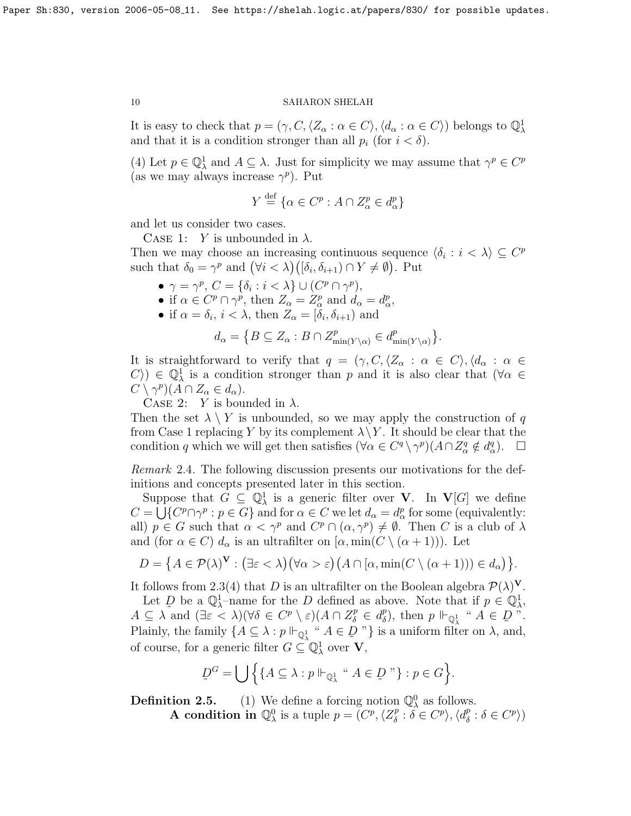It is easy to check that  $p = (\gamma, C, \langle Z_\alpha : \alpha \in C \rangle, \langle d_\alpha : \alpha \in C \rangle)$  belongs to  $\mathbb{Q}^1_\lambda$ and that it is a condition stronger than all  $p_i$  (for  $i < \delta$ ).

(4) Let  $p \in \mathbb{Q}^1_\lambda$  and  $A \subseteq \lambda$ . Just for simplicity we may assume that  $\gamma^p \in C^p$ (as we may always increase  $\gamma^p$ ). Put

$$
Y \stackrel{\text{def}}{=} \{ \alpha \in C^p : A \cap Z_{\alpha}^p \in d_{\alpha}^p \}
$$

and let us consider two cases.

CASE 1: Y is unbounded in  $\lambda$ .

Then we may choose an increasing continuous sequence  $\langle \delta_i : i \langle \lambda \rangle \subseteq C^p$ such that  $\delta_0 = \gamma^p$  and  $(\forall i < \lambda) ([\delta_i, \delta_{i+1}) \cap Y \neq \emptyset)$ . Put

- $\gamma = \gamma^p$ ,  $C = \{\delta_i : i < \lambda\} \cup (C^p \cap \gamma^p)$ ,
- if  $\alpha \in C^p \cap \gamma^p$ , then  $Z_{\alpha} = Z_{\alpha}^p$  and  $d_{\alpha} = d_{\alpha}^p$ ,
- if  $\alpha = \delta_i$ ,  $i < \lambda$ , then  $Z_{\alpha} = [\delta_i, \delta_{i+1}]$  and

$$
d_{\alpha} = \{ B \subseteq Z_{\alpha} : B \cap Z_{\min(Y \setminus \alpha)}^p \in d_{\min(Y \setminus \alpha)}^p \}.
$$

It is straightforward to verify that  $q = (\gamma, C, \langle Z_{\alpha} : \alpha \in C \rangle, \langle d_{\alpha} : \alpha \in \mathbb{C} \rangle)$  $(C)$ )  $\in \mathbb{Q}^1_\lambda$  is a condition stronger than p and it is also clear that  $(\forall \alpha \in \mathbb{Q}^1)$  $C \setminus \gamma^p(A \cap Z_\alpha \in d_\alpha).$ 

CASE 2: Y is bounded in  $\lambda$ .

Then the set  $\lambda \setminus Y$  is unbounded, so we may apply the construction of q from Case 1 replacing Y by its complement  $\lambda \backslash Y$ . It should be clear that the condition q which we will get then satisfies  $(\forall \alpha \in C^q \setminus \gamma^p)(A \cap Z_\alpha^q \notin d_\alpha^q)$ .  $\Box$ 

Remark 2.4. The following discussion presents our motivations for the definitions and concepts presented later in this section.

Suppose that  $G \subseteq \mathbb{Q}^1_\lambda$  is a generic filter over **V**. In **V**[G] we define  $C = \bigcup \{C^p \cap \gamma^p : p \in G\}$  and for  $\alpha \in C$  we let  $d_\alpha = d_\alpha^p$  for some (equivalently: all)  $p \in G$  such that  $\alpha < \gamma^p$  and  $C^p \cap (\alpha, \gamma^p) \neq \emptyset$ . Then C is a club of  $\lambda$ and (for  $\alpha \in C$ )  $d_{\alpha}$  is an ultrafilter on  $[\alpha, \min(C \setminus (\alpha + 1))]$ . Let

$$
D = \left\{ A \in \mathcal{P}(\lambda)^{\mathbf{V}} : (\exists \varepsilon < \lambda) (\forall \alpha > \varepsilon) (A \cap [\alpha, \min(C \setminus (\alpha + 1))) \in d_{\alpha} \right\}.
$$

It follows from [2.3\(](#page-0-0)4) that D is an ultrafilter on the Boolean algebra  $\mathcal{P}(\lambda)^V$ .

Let  $\mathcal{D}$  be a  $\mathbb{Q}^1_\lambda$ -name for the D defined as above. Note that if  $p \in \mathbb{Q}^1_\lambda$ ,  $A \subseteq \lambda$  and  $(\exists \varepsilon < \lambda)(\forall \delta \in C^p \setminus \varepsilon)(A \cap Z_{\delta}^p \in d_{\delta}^p)$  $\mathbb{P}_{\delta}^p$ , then  $p \Vdash_{\mathbb{Q}^1_{\lambda}} "A \in \mathbb{D}^{\mathbb{Z}^N}$ . Plainly, the family  $\{A \subseteq \lambda : p \Vdash_{\mathbb{Q}^1_\lambda}^{\alpha} A \in \mathcal{D}$  " $\}$  is a uniform filter on  $\lambda$ , and, of course, for a generic filter  $G \subseteq \mathbb{Q}_{\lambda}^{1}$  over  $\mathbf{V}$ ,

$$
\mathcal{D}^G = \bigcup \Big\{ \{ A \subseteq \lambda : p \Vdash_{\mathbb{Q}^1_\lambda} \text{`` } A \in \mathcal{D} \text{''} \} : p \in G \Big\}.
$$

**Definition 2.5.** (1) We define a forcing notion  $\mathbb{Q}_{\lambda}^{0}$  as follows.

**A** condition in  $\mathbb{Q}_{\lambda}^{0}$  is a tuple  $p = \overline{(C^{p}, \langle Z_{\delta}^{p} \rangle)}$  $\delta^p : \widehat{\delta} \in C^p \rangle, \langle d_{\delta}^p$  $_{\delta}^{p}$  :  $\delta \in C^{p}$ )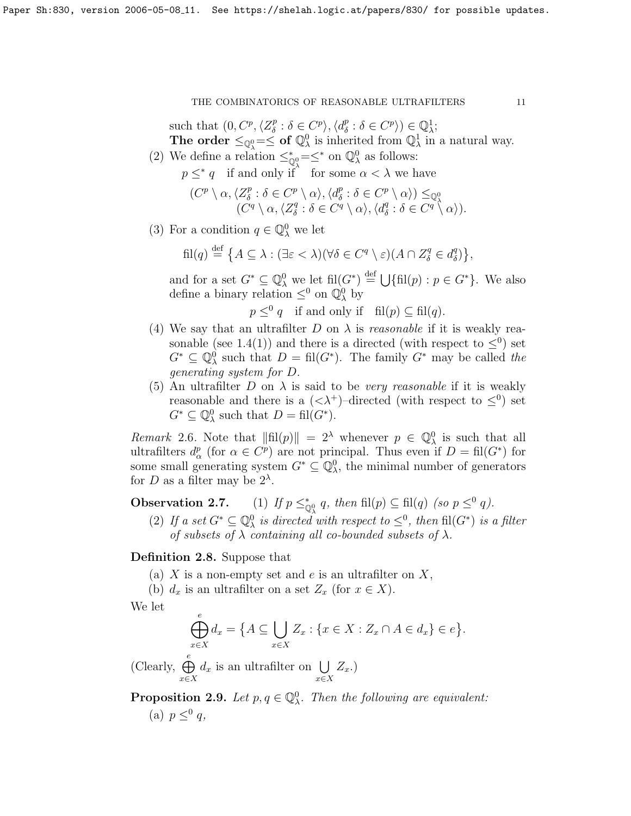$\delta^p : \delta \in C^p \rangle, \langle d_{\delta}^p$  $\delta^p : \delta \in C^p \rangle \in \mathbb{Q}^1_\lambda;$ 

such that  $(0, C^p, \langle Z_{\delta}^p \rangle)$ The order  $\leq_{\mathbb{Q}^0_\lambda} = \leq$  of  $\mathbb{Q}^0_\lambda$  is inherited from  $\mathbb{Q}^1_\lambda$  in a natural way.

(2) We define a relation  $\leq^*_{\mathbb{Q}^0_\lambda} = \leq^*$  on  $\mathbb{Q}^0_\lambda$  as follows:

 $p \leq^* q$  if and only if for some  $\alpha < \lambda$  we have  $(C^p \setminus \alpha, \langle Z_{\delta}^p$  $\delta^p : \delta \in C^p \setminus \alpha \rangle, \langle d^p_\delta \rangle$ 

$$
C^p \setminus \alpha, \langle Z_{\delta}^p : \delta \in C^p \setminus \alpha \rangle, \langle d_{\delta}^p : \delta \in C^p \setminus \alpha \rangle) \leq_{\mathbb{Q}_{\lambda}^0} (C^q \setminus \alpha, \langle Z_{\delta}^q : \delta \in C^q \setminus \alpha \rangle, \langle d_{\delta}^q : \delta \in C^q \setminus \alpha \rangle).
$$

(3) For a condition  $q \in \mathbb{Q}_{\lambda}^0$  we let

$$
\mathrm{fil}(q) \stackrel{\mathrm{def}}{=} \big\{ A \subseteq \lambda : (\exists \varepsilon < \lambda)(\forall \delta \in C^q \setminus \varepsilon)(A \cap Z^q_\delta \in d^q_\delta) \big\},
$$

and for a set  $G^* \subseteq \mathbb{Q}_{\lambda}^0$  we let  $\text{fil}(G^*) \stackrel{\text{def}}{=} \bigcup \{\text{fil}(p) : p \in G^*\}.$  We also define a binary relation  $\leq^0$  on  $\mathbb{Q}^0_\lambda$  by

 $p \leq^0 q$  if and only if  $\text{fil}(p) \subseteq \text{fil}(q)$ .

- (4) We say that an ultrafilter D on  $\lambda$  is reasonable if it is weakly rea-sonable (see [1.4\(](#page-3-0)1)) and there is a directed (with respect to  $\leq^0$ ) set  $G^* \subseteq \mathbb{Q}^0_\lambda$  such that  $D = \text{fil}(G^*)$ . The family  $G^*$  may be called the generating system for D.
- (5) An ultrafilter D on  $\lambda$  is said to be very reasonable if it is weakly reasonable and there is a  $( $\lambda^+$ )-directed (with respect to  $\leq^0$ ) set$  $G^* \subseteq \mathbb{Q}^0_\lambda$  such that  $D = \text{fil}(G^*)$ .

Remark 2.6. Note that  $\|\text{fil}(p)\| = 2^{\lambda}$  whenever  $p \in \mathbb{Q}_{\lambda}^{0}$  is such that all ultrafilters  $d_{\alpha}^{p}$  (for  $\alpha \in C^{p}$ ) are not principal. Thus even if  $D = fil(G^*)$  for some small generating system  $G^* \subseteq \mathbb{Q}^0_\lambda$ , the minimal number of generators for D as a filter may be  $2^{\lambda}$ .

**Observation 2.7.** (1) If  $p \leq^*_{\mathbb{Q}^0_\lambda} q$ , then fil(p)  $\subseteq$  fil(q) (so  $p \leq^0 q$ ).

(2) If a set  $G^* \subseteq \mathbb{Q}^0_\lambda$  is directed with respect to  $\leq^0$ , then fil $(G^*)$  is a filter of subsets of  $\lambda$  containing all co-bounded subsets of  $\lambda$ .

Definition 2.8. Suppose that

(a) X is a non-empty set and e is an ultrafilter on  $X$ ,

(b)  $d_x$  is an ultrafilter on a set  $Z_x$  (for  $x \in X$ ).

We let

$$
\bigoplus_{x \in X}^{e} d_x = \{ A \subseteq \bigcup_{x \in X} Z_x : \{ x \in X : Z_x \cap A \in d_x \} \in e \}.
$$

(Clearly,  $\bigoplus^e$ x∈X  $d_x$  is an ultrafilter on  $\bigcup$ x∈X  $Z_x$ .)

<span id="page-10-0"></span>**Proposition 2.9.** Let  $p, q \in \mathbb{Q}_{\lambda}^0$ . Then the following are equivalent: (a)  $p \leq^0 q$ ,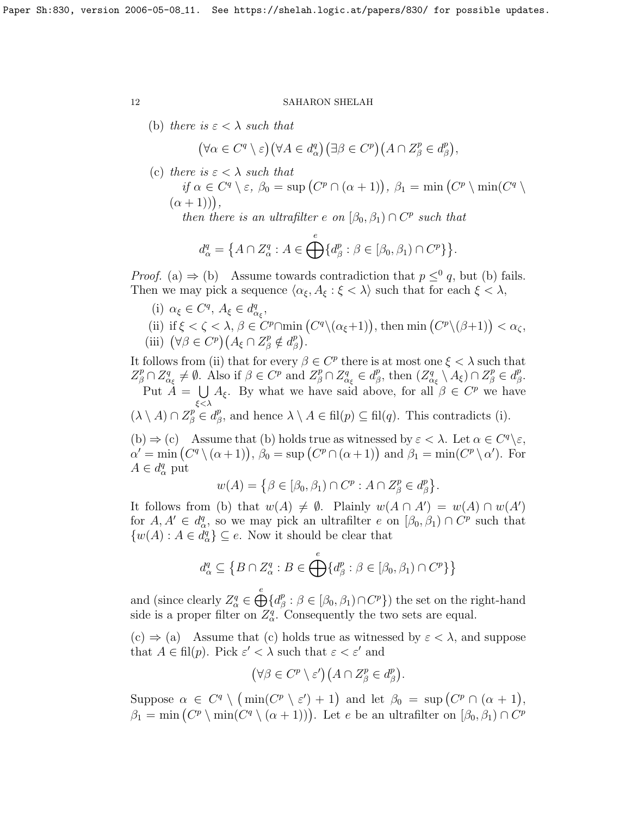(b) there is  $\varepsilon < \lambda$  such that

$$
(\forall \alpha \in C^q \setminus \varepsilon)(\forall A \in d^q_\alpha) (\exists \beta \in C^p)(A \cap Z^p_\beta \in d^p_\beta),
$$

(c) there is  $\varepsilon < \lambda$  such that

if  $\alpha \in C^q \setminus \varepsilon$ ,  $\beta_0 = \sup (C^p \cap (\alpha + 1)), \ \beta_1 = \min (C^p \setminus \min(C^q \setminus$  $(\alpha + 1)$ ),

then there is an ultrafilter e on  $[\beta_0, \beta_1) \cap C^p$  such that

$$
d_{\alpha}^{q} = \{ A \cap Z_{\alpha}^{q} : A \in \bigoplus^e \{ d_{\beta}^{p} : \beta \in [\beta_0, \beta_1) \cap C^p \} \}.
$$

*Proof.* (a)  $\Rightarrow$  (b) Assume towards contradiction that  $p \leq^{0} q$ , but (b) fails. Then we may pick a sequence  $\langle \alpha_{\xi}, A_{\xi} : \xi < \lambda \rangle$  such that for each  $\xi < \lambda$ ,

(i)  $\alpha_{\xi} \in C^q$ ,  $A_{\xi} \in d_{\alpha_{\xi}}^q$ ,

(ii) if 
$$
\xi < \zeta < \lambda
$$
,  $\beta \in C^p \cap \min (C^q \setminus (\alpha_{\xi}+1))$ , then min  $(C^p \setminus (\beta+1)) < \alpha_{\zeta}$ ,  
(iii)  $(\forall \beta \in C^p) (A_{\xi} \cap Z_{\beta}^p \notin d_{\beta}^p)$ .

It follows from (ii) that for every  $\beta \in C^p$  there is at most one  $\xi < \lambda$  such that  $Z_{\beta}^p \cap Z_{\alpha_{\xi}}^q \neq \emptyset$ . Also if  $\beta \in C^p$  and  $Z_{\beta}^p \cap Z_{\alpha_{\xi}}^q \in d_{\beta}^p$ <sup>p</sup><sub>β</sub>, then  $(Z^q_{\alpha_{\xi}} \setminus A_{\xi}) \cap Z^p_{\beta} \in d^p_{\beta}$ p<br>β· Put  $A = \bigcup$ ξ<λ  $A_{\xi}$ . By what we have said above, for all  $\beta \in C^p$  we have  $(\lambda \setminus A) \cap Z_{\beta}^p \in d_{\beta}^p$  $_{\beta}^{p}$ , and hence  $\lambda \setminus A \in fil(p) \subseteq fil(q)$ . This contradicts (i).

(b)  $\Rightarrow$  (c) Assume that (b) holds true as witnessed by  $\varepsilon < \lambda$ . Let  $\alpha \in C^q \backslash \varepsilon$ ,  $\alpha' = \min (C^q \setminus (\alpha + 1)), \beta_0 = \sup (C^p \cap (\alpha + 1)) \text{ and } \beta_1 = \min (C^p \setminus \alpha').$  For  $A \in d^q_\alpha$  put

$$
w(A) = \{ \beta \in [\beta_0, \beta_1) \cap C^p : A \cap Z_{\beta}^p \in d_{\beta}^p \}.
$$

It follows from (b) that  $w(A) \neq \emptyset$ . Plainly  $w(A \cap A') = w(A) \cap w(A')$ for  $A, A' \in d_{\alpha}^q$ , so we may pick an ultrafilter e on  $[\beta_0, \beta_1) \cap C^p$  such that  $\{w(A): A \in d^q_\alpha\} \subseteq e$  . Now it should be clear that

$$
d_{\alpha}^{q} \subseteq \left\{ B \cap Z_{\alpha}^{q} : B \in \bigoplus^e d_{\beta}^{p} : \beta \in [\beta_0, \beta_1) \cap C^p \right\}
$$

and (since clearly  $Z^q_\alpha \in \bigoplus^e \{d^p_\beta\}$  $\beta$  :  $\beta \in [\beta_0, \beta_1) \cap C^p$  the set on the right-hand side is a proper filter on  $Z^q_\alpha$ . Consequently the two sets are equal.

 $(c) \Rightarrow (a)$  Assume that  $(c)$  holds true as witnessed by  $\varepsilon < \lambda$ , and suppose that  $A \in \text{fil}(p)$ . Pick  $\varepsilon' < \lambda$  such that  $\varepsilon < \varepsilon'$  and

$$
(\forall \beta \in C^p \setminus \varepsilon') (A \cap Z_{\beta}^p \in d_{\beta}^p).
$$

Suppose  $\alpha \in C^q \setminus (\min(C^p \setminus \varepsilon') + 1)$  and let  $\beta_0 = \sup (C^p \cap (\alpha + 1)),$  $\beta_1 = \min (C^p \setminus \min(C^q \setminus (\alpha + 1)))$ . Let e be an ultrafilter on  $[\beta_0, \beta_1) \cap C^p$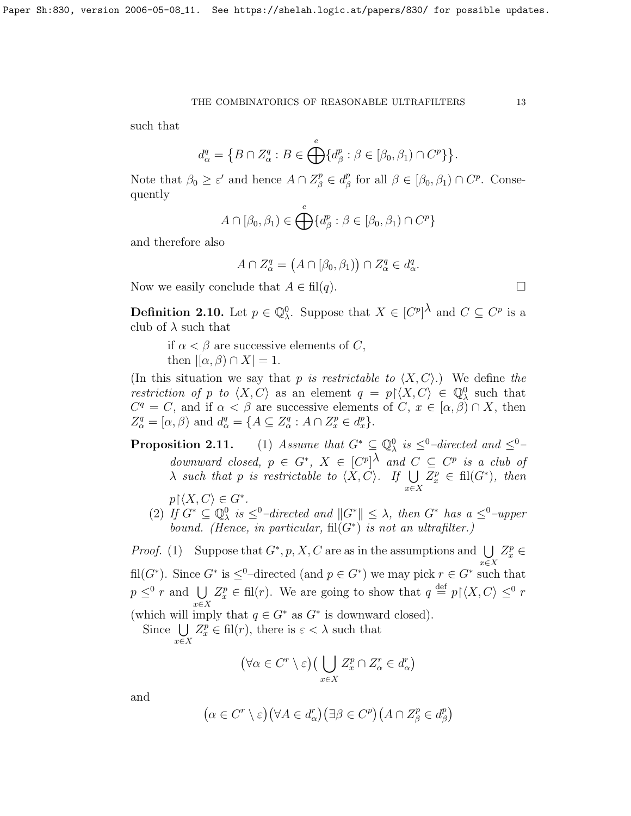such that

$$
d_{\alpha}^{q} = \{ B \cap Z_{\alpha}^{q} : B \in \bigoplus^e \{ d_{\beta}^{p} : \beta \in [\beta_0, \beta_1) \cap C^p \} \}.
$$

Note that  $\beta_0 \geq \varepsilon'$  and hence  $A \cap Z_\beta^p \in d_\beta^p$  $_{\beta}^{p}$  for all  $\beta \in [\beta_0, \beta_1) \cap C^p$ . Consequently

$$
A \cap [\beta_0, \beta_1) \in \bigoplus^e \{d^p_\beta : \beta \in [\beta_0, \beta_1) \cap C^p\}
$$

and therefore also

$$
A \cap Z_{\alpha}^{q} = (A \cap [\beta_0, \beta_1)) \cap Z_{\alpha}^{q} \in d_{\alpha}^{q}.
$$

Now we easily conclude that  $A \in \text{fil}(q)$ .

**Definition 2.10.** Let  $p \in \mathbb{Q}_{\lambda}^0$ . Suppose that  $X \in [C^p]^{\lambda}$  and  $C \subseteq C^p$  is a club of  $\lambda$  such that

if  $\alpha < \beta$  are successive elements of C, then  $|[\alpha, \beta) \cap X| = 1$ .

(In this situation we say that p is restrictable to  $\langle X, C \rangle$ .) We define the restriction of p to  $\langle X, C \rangle$  as an element  $q = p \upharpoonright \langle X, C \rangle \in \mathbb{Q}_{\lambda}^0$  such that  $C^q = C$ , and if  $\alpha < \beta$  are successive elements of  $C, x \in [\alpha, \beta] \cap X$ , then  $Z_{\alpha}^{q} = [\alpha, \beta)$  and  $d_{\alpha}^{q} = \{A \subseteq Z_{\alpha}^{q} : A \cap Z_{x}^{p} \in d_{x}^{p}\}.$ 

**Proposition 2.11.** (1) Assume that  $G^* \subseteq \mathbb{Q}_{\lambda}^0$  is  $\leq^0$ -directed and  $\leq^0$ downward closed,  $p \in G^*$ ,  $X \in [C^p]^\lambda$  and  $C \subseteq C^p$  is a club of  $\lambda$  such that p is restrictable to  $\langle X, C \rangle$ . If  $\bigcup$ x∈X  $Z_x^p \in fil(G^*), \ then$  $p\restriction \langle X, C\rangle \in G^*$ .

(2) If  $G^* \subseteq \mathbb{Q}^0_\lambda$  is  $\leq^0$ -directed and  $||G^*|| \leq \lambda$ , then  $G^*$  has a  $\leq^0$ -upper bound. (Hence, in particular,  $\mathrm{fil}(G^*)$  is not an ultrafilter.)

*Proof.* (1) Suppose that  $G^*, p, X, C$  are as in the assumptions and  $\bigcup Z_x^p \in$ fil(G<sup>\*</sup>). Since G<sup>\*</sup> is  $\leq^0$ -directed (and  $p \in G^*$ ) we may pick  $r \in G^*$  such that  $p \leq^0 r$  and  $\bigcup$ x∈X  $Z_x^p \in \text{fil}(r)$ . We are going to show that  $q \stackrel{\text{def}}{=} p \restriction \langle X, C \rangle \leq^0 r$ (which will imply that  $q \in G^*$  as  $G^*$  is downward closed). Since U  $Z_x^p \in \text{fil}(r)$ , there is  $\varepsilon < \lambda$  such that

x∈X

$$
(\forall \alpha \in C^r \setminus \varepsilon) \big(\bigcup_{x \in X} Z_x^p \cap Z_\alpha^r \in d_\alpha^r\big)
$$

and

$$
(\alpha \in C^r \setminus \varepsilon)(\forall A \in d^r_\alpha) (\exists \beta \in C^p)(A \cap Z^p_\beta \in d^p_\beta)
$$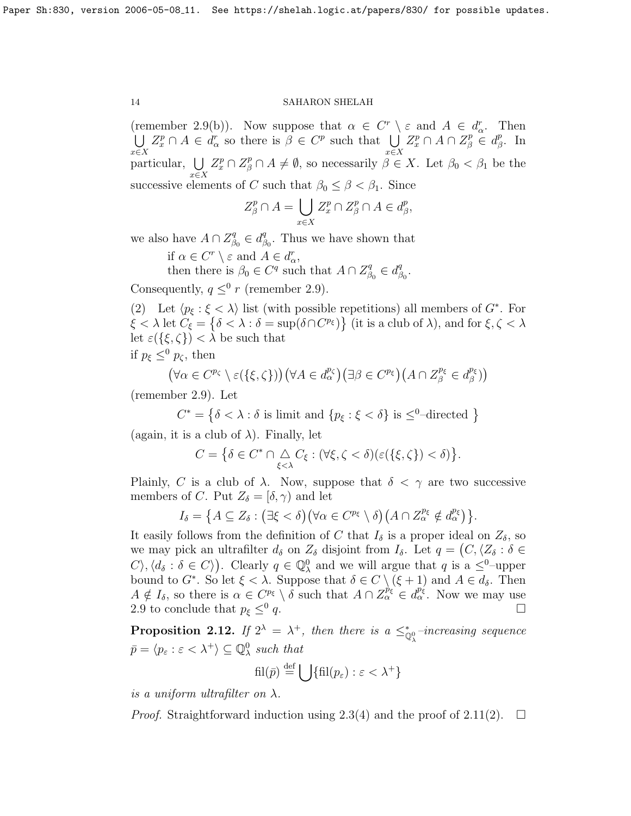(remember [2.9\(](#page-10-0)b)). Now suppose that  $\alpha \in C^r \setminus \varepsilon$  and  $A \in d_{\alpha}^r$ . Then  $\bigcup$ x∈X  $Z_x^p \cap A \in d_{\alpha}^r$  so there is  $\beta \in C^p$  such that  $\bigcup$ x∈X  $Z_x^p \cap A \cap Z_\beta^p \in d_\beta^p$  $^p_{\beta}$ . In particular,  $\bigcup$ x∈X  $Z_x^p \cap Z_\beta^p \cap A \neq \emptyset$ , so necessarily  $\beta \in X$ . Let  $\beta_0 < \beta_1$  be the successive elements of C such that  $\beta_0 \leq \beta < \beta_1$ . Since

$$
Z_{\beta}^p \cap A = \bigcup_{x \in X} Z_x^p \cap Z_{\beta}^p \cap A \in d_{\beta}^p,
$$

we also have  $A \cap Z^q_\beta$  $\beta_0^q \in d^q_\beta$  $\beta_0^q$ . Thus we have shown that

if  $\alpha \in C^r \setminus \varepsilon$  and  $A \in d_{\alpha}^r$ ,

then there is  $\beta_0 \in C^q$  such that  $A \cap Z^q_{\beta}$  $\beta_0^q \in d_{\beta}^q$  $_{\beta_0}^q.$ 

Consequently,  $q \leq^0 r$  (remember [2.9\)](#page-10-0).

(2) Let  $\langle p_{\xi} : \xi < \lambda \rangle$  list (with possible repetitions) all members of  $G^*$ . For  $\xi < \lambda$  let  $C_{\xi} = \{ \delta < \lambda : \delta = \sup(\delta \cap C^{p_{\xi}}) \}$  (it is a club of  $\lambda$ ), and for  $\xi, \zeta < \lambda$ let  $\varepsilon({\{\xi,\zeta\}}) < \lambda$  be such that if  $p_{\xi} \leq^0 p_{\zeta}$ , then

$$
(\forall \alpha \in C^{p_{\zeta}} \setminus \varepsilon(\{\xi,\zeta\}) ) (\forall A \in d_{\alpha}^{p_{\zeta}}) (\exists \beta \in C^{p_{\xi}}) (A \cap Z_{\beta}^{p_{\xi}} \in d_{\beta}^{p_{\xi}}))
$$

(remember [2.9\)](#page-10-0). Let

 $C^* = \{ \delta < \lambda : \delta \text{ is limit and } \{ p_{\xi} : \xi < \delta \} \text{ is } \leq^0 \text{-directed } \}$ 

(again, it is a club of  $\lambda$ ). Finally, let

$$
C = \big\{\delta \in C^* \cap \bigtriangleup_{\xi < \lambda} C_{\xi} : (\forall \xi, \zeta < \delta)(\varepsilon(\{\xi, \zeta\}) < \delta)\big\}.
$$

Plainly, C is a club of  $\lambda$ . Now, suppose that  $\delta < \gamma$  are two successive members of C. Put  $Z_{\delta} = [\delta, \gamma)$  and let

$$
I_{\delta} = \left\{ A \subseteq Z_{\delta} : (\exists \xi < \delta) (\forall \alpha \in C^{p_{\xi}} \setminus \delta) (A \cap Z_{\alpha}^{p_{\xi}} \notin d_{\alpha}^{p_{\xi}}) \right\}.
$$

It easily follows from the definition of C that  $I_{\delta}$  is a proper ideal on  $Z_{\delta}$ , so we may pick an ultrafilter  $d_{\delta}$  on  $Z_{\delta}$  disjoint from  $I_{\delta}$ . Let  $q = (C, \langle Z_{\delta} : \delta \in$  $C$ ,  $\langle d_{\delta} : \delta \in C \rangle$ ). Clearly  $q \in \mathbb{Q}_{\lambda}^{0}$  and we will argue that q is a  $\leq^{0}$ -upper bound to  $G^*$ . So let  $\xi < \lambda$ . Suppose that  $\delta \in C \setminus (\xi + 1)$  and  $A \in d_{\delta}$ . Then  $A \notin I_\delta$ , so there is  $\alpha \in C^{p_{\xi}} \setminus \delta$  such that  $A \cap Z_\alpha^{p_{\xi}} \in d_\alpha^{p_{\xi}}$ . Now we may use [2.9](#page-10-0) to conclude that  $p_{\xi} \leq^0 q$ . q.  $\Box$ 

**Proposition 2.12.** If  $2^{\lambda} = \lambda^+$ , then there is a  $\leq^*_{\mathbb{Q}^0_{\lambda}}$ -increasing sequence  $\bar{p} = \langle p_{\varepsilon} : \varepsilon < \lambda^+ \rangle \subseteq \mathbb{Q}^0_{\lambda}$  such that

$$
\mathrm{fil}(\bar{p}) \stackrel{\mathrm{def}}{=} \bigcup \{\mathrm{fil}(p_{\varepsilon}) : \varepsilon < \lambda^+\}
$$

is a uniform ultrafilter on  $\lambda$ .

*Proof.* Straightforward induction using [2.3\(](#page-0-0)4) and the proof of [2.11\(](#page-0-0)2).  $\Box$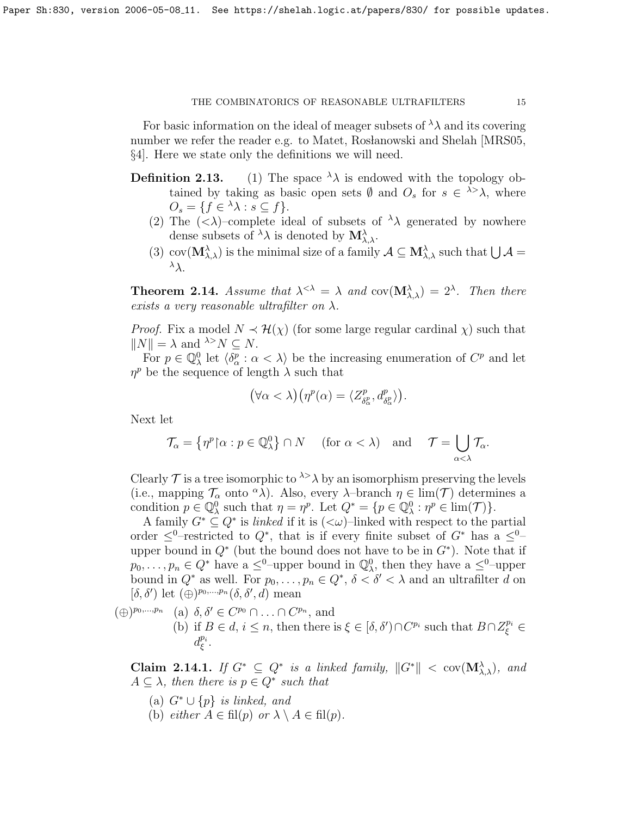For basic information on the ideal of meager subsets of  $\lambda$  and its covering number we refer the reader e.g. to Matet, Rosłanowski and Shelah [\[MRS05,](#page-22-7) §4]. Here we state only the definitions we will need.

- **Definition 2.13.** (1) The space  $\lambda \lambda$  is endowed with the topology obtained by taking as basic open sets  $\emptyset$  and  $O_s$  for  $s \in \lambda > \lambda$ , where  $O_s = \{f \in {}^{\lambda} {\lambda} : s \subseteq f\}.$ 
	- (2) The  $(\langle \lambda \rangle$ -complete ideal of subsets of  $\lambda \lambda$  generated by nowhere dense subsets of  $^{\lambda} \lambda$  is denoted by  $\mathbf{M}^{\lambda}_{\lambda,\lambda}$ .
	- (3) cov $(M_{\lambda,\lambda}^{\lambda})$  is the minimal size of a family  $\mathcal{A} \subseteq M_{\lambda,\lambda}^{\lambda}$  such that  $\bigcup \mathcal{A} =$  $λ$ λ.

<span id="page-14-1"></span>**Theorem 2.14.** Assume that  $\lambda^{<\lambda} = \lambda$  and  $cov(M^{\lambda}_{\lambda,\lambda}) = 2^{\lambda}$ . Then there exists a very reasonable ultrafilter on  $\lambda$ .

*Proof.* Fix a model  $N \prec \mathcal{H}(\chi)$  (for some large regular cardinal  $\chi$ ) such that  $||N|| = \lambda$  and  $\lambda > N \subseteq N$ .

For  $p \in \mathbb{Q}_{\lambda}^0$  let  $\langle \delta_{\alpha}^p : \alpha < \lambda \rangle$  be the increasing enumeration of  $C^p$  and let  $\eta^p$  be the sequence of length  $\lambda$  such that

$$
(\forall \alpha < \lambda) \left( \eta^p(\alpha) = \langle Z^p_{\delta^p_{\alpha}}, d^p_{\delta^p_{\alpha}} \rangle \right).
$$

Next let

$$
\mathcal{T}_{\alpha} = \left\{ \eta^{p} \middle| \alpha : p \in \mathbb{Q}_{\lambda}^{0} \right\} \cap N \quad (\text{for } \alpha < \lambda) \quad \text{and} \quad \mathcal{T} = \bigcup_{\alpha < \lambda} \mathcal{T}_{\alpha}.
$$

Clearly  $\mathcal T$  is a tree isomorphic to  $\lambda > \lambda$  by an isomorphism preserving the levels (i.e., mapping  $\mathcal{T}_{\alpha}$  onto  $^{\alpha}\lambda$ ). Also, every  $\lambda$ -branch  $\eta \in \text{lim}(\mathcal{T})$  determines a condition  $p \in \mathbb{Q}_{\lambda}^0$  such that  $\eta = \eta^p$ . Let  $Q^* = \{p \in \mathbb{Q}_{\lambda}^0 : \eta^p \in \text{lim}(\mathcal{T})\}.$ 

A family  $G^* \subseteq Q^*$  is *linked* if it is  $( $\omega$ )$ -linked with respect to the partial order  $\leq^0$ -restricted to  $Q^*$ , that is if every finite subset of  $G^*$  has a  $\leq^0$ upper bound in  $Q^*$  (but the bound does not have to be in  $G^*$ ). Note that if  $p_0, \ldots, p_n \in Q^*$  have a  $\leq^0$ -upper bound in  $\mathbb{Q}^0_\lambda$ , then they have a  $\leq^0$ -upper bound in  $Q^*$  as well. For  $p_0, \ldots, p_n \in Q^*$ ,  $\delta < \delta' < \lambda$  and an ultrafilter d on  $[\delta, \delta']$  let  $(\oplus)^{p_0,...,p_n}(\delta, \delta', d)$  mean

 $(\oplus)^{p_0,...,p_n}$  (a)  $\delta, \delta' \in C^{p_0} \cap ... \cap C^{p_n}$ , and (b) if  $B \in d, i \leq n$ , then there is  $\xi \in [\delta, \delta') \cap C^{p_i}$  such that  $B \cap Z_{\xi}^{p_i} \in$  $d_{\xi}^{p_i}$  $_{\xi}^{p_i}.$ 

<span id="page-14-0"></span>Claim 2.14.1. If  $G^* \subseteq Q^*$  is a linked family,  $||G^*|| < \text{cov}(\mathbf{M}_{\lambda,\lambda}^{\lambda})$ , and  $A \subseteq \lambda$ , then there is  $p \in Q^*$  such that

- (a)  $G^* \cup \{p\}$  is linked, and
- (b) either  $A \in fil(p)$  or  $\lambda \setminus A \in fil(p)$ .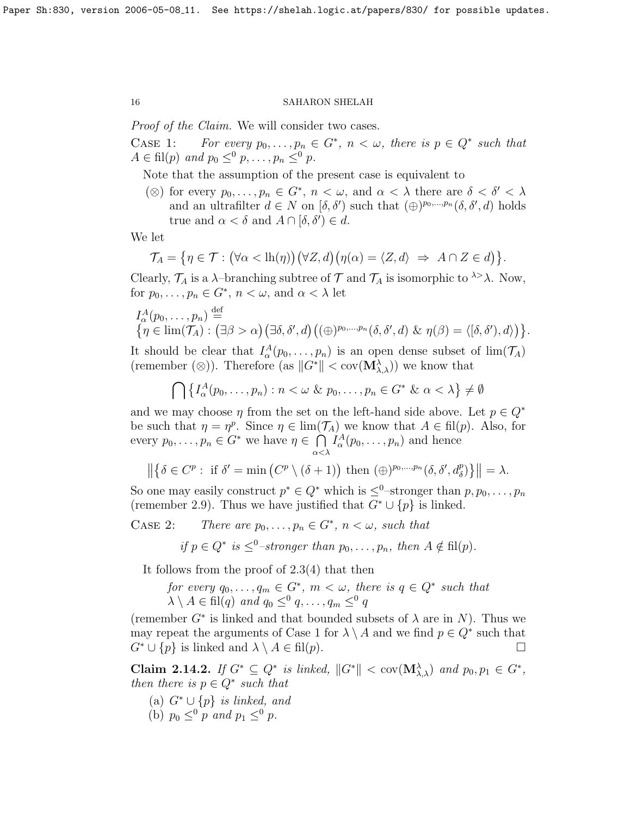Proof of the Claim. We will consider two cases.

CASE 1: For every  $p_0, \ldots, p_n \in G^*$ ,  $n < \omega$ , there is  $p \in Q^*$  such that  $A \in fil(p)$  and  $p_0 \leq^0 p, \ldots, p_n \leq^0 p$ .

Note that the assumption of the present case is equivalent to

(⊗) for every  $p_0, \ldots, p_n \in G^*$ ,  $n < \omega$ , and  $\alpha < \lambda$  there are  $\delta < \delta' < \lambda$ and an ultrafilter  $d \in N$  on  $[\delta, \delta')$  such that  $(\bigoplus^{p_0,\ldots,p_n} (\delta, \delta', d)$  holds true and  $\alpha < \delta$  and  $A \cap [\delta, \delta') \in d$ .

We let

$$
\mathcal{T}_A = \{ \eta \in \mathcal{T} : (\forall \alpha < \text{lh}(\eta)) (\forall Z, d) (\eta(\alpha) = \langle Z, d \rangle \Rightarrow A \cap Z \in d) \}.
$$

Clearly,  $\mathcal{T}_A$  is a  $\lambda$ -branching subtree of  $\mathcal{T}$  and  $\mathcal{T}_A$  is isomorphic to  $\lambda > \lambda$ . Now, for  $p_0, \ldots, p_n \in G^*$ ,  $n < \omega$ , and  $\alpha < \lambda$  let

$$
I_{\alpha}^{\mathcal{A}}(p_{0},...,p_{n}) \stackrel{\text{def}}{=} \{ \eta \in \lim(\mathcal{T}_{A}) : (\exists \beta > \alpha) (\exists \delta, \delta', d) ((\oplus)^{p_{0},...,p_{n}}(\delta, \delta', d) \& \eta(\beta) = \langle [\delta, \delta'), d \rangle \} \}.
$$

It should be clear that  $I_{\alpha}^{A}(p_0,\ldots,p_n)$  is an open dense subset of  $\lim_{\mathcal{T}_A}$ (remember  $(\otimes)$ ). Therefore (as  $||G^*|| < \text{cov}(\mathbf{M}_{\lambda,\lambda}^{\lambda})$ ) we know that

$$
\bigcap \left\{ I_{\alpha}^{A}(p_0,\ldots,p_n) : n < \omega \& p_0,\ldots,p_n \in G^* \& \alpha < \lambda \right\} \neq \emptyset
$$

and we may choose  $\eta$  from the set on the left-hand side above. Let  $p \in Q^*$ be such that  $\eta = \eta^p$ . Since  $\eta \in \lim_{\mathcal{T}_A} (\mathcal{T}_A)$  we know that  $A \in \text{fil}(p)$ . Also, for every  $p_0, \ldots, p_n \in G^*$  we have  $\eta \in \bigcap$ α<λ  $I_{\alpha}^{A}(p_0,\ldots,p_n)$  and hence

$$
\left\|\left\{\delta \in C^p: \text{ if } \delta' = \min\left(C^p \setminus (\delta + 1)\right) \text{ then } (\oplus)^{p_0, \dots, p_n}(\delta, \delta', d^p_\delta)\right\}\right\| = \lambda.
$$

So one may easily construct  $p^* \in Q^*$  which is  $\leq^0$ -stronger than  $p, p_0, \ldots, p_n$ (remember [2.9\)](#page-10-0). Thus we have justified that  $G^* \cup \{p\}$  is linked.

CASE 2: There are  $p_0, \ldots, p_n \in G^*$ ,  $n < \omega$ , such that

if  $p \in Q^*$  is  $\leq^0$ -stronger than  $p_0, \ldots, p_n$ , then  $A \notin \mathrm{fil}(p)$ .

It follows from the proof of [2.3\(](#page-0-0)4) that then

for every  $q_0, \ldots, q_m \in G^*$ ,  $m < \omega$ , there is  $q \in Q^*$  such that  $\lambda \setminus A \in \text{fil}(q)$  and  $q_0 \leq^0 q, \ldots, q_m \leq^0 q$ 

(remember  $G^*$  is linked and that bounded subsets of  $\lambda$  are in N). Thus we may repeat the arguments of Case 1 for  $\lambda \setminus A$  and we find  $p \in Q^*$  such that  $G^* \cup \{p\}$  is linked and  $\lambda \setminus A \in \text{fil}(p)$ .

Claim 2.14.2. If  $G^* \subseteq Q^*$  is linked,  $||G^*|| < \text{cov}(\mathbf{M}_{\lambda,\lambda}^{\lambda})$  and  $p_0, p_1 \in G^*$ , then there is  $p \in Q^*$  such that

- (a)  $G^* \cup \{p\}$  is linked, and
- (b)  $p_0 <sup>0</sup> p$  and  $p_1 <sup>0</sup> p$ .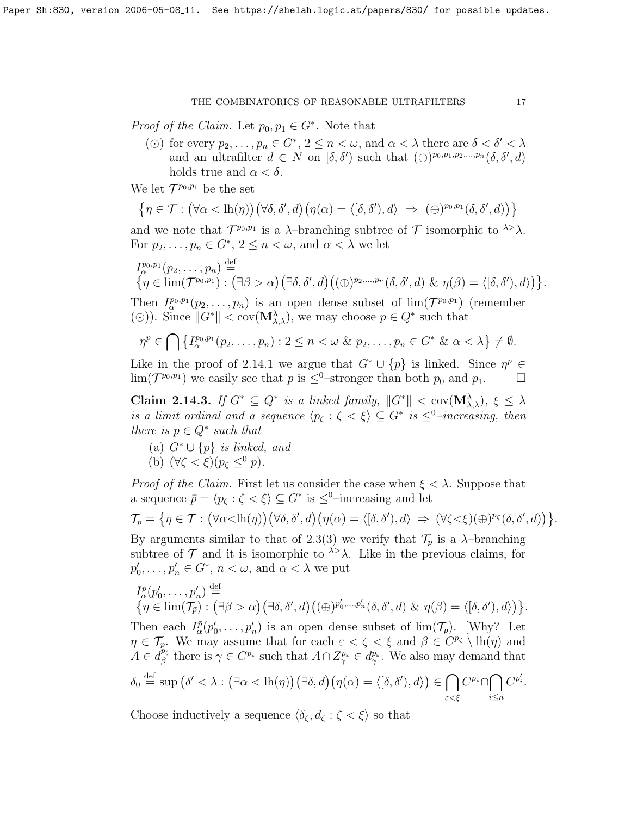*Proof of the Claim.* Let  $p_0, p_1 \in G^*$ . Note that

( $\odot$ ) for every  $p_2, \ldots, p_n \in G^*$ ,  $2 \leq n \lt \omega$ , and  $\alpha \lt \lambda$  there are  $\delta \lt \delta' \lt \lambda$ and an ultrafilter  $d \in N$  on  $[\delta, \delta')$  such that  $(\bigoplus^{p_0, p_1, p_2, \ldots, p_n} (\delta, \delta', d)]$ holds true and  $\alpha < \delta$ .

We let  $\mathcal{T}^{p_0,p_1}$  be the set

$$
\left\{\eta \in \mathcal{T} : (\forall \alpha < \mathrm{lh}(\eta))(\forall \delta, \delta', d) (\eta(\alpha) = \langle [\delta, \delta'), d \rangle \implies (\oplus)^{p_0, p_1}(\delta, \delta', d))\right\}
$$

and we note that  $\mathcal{T}^{p_0,p_1}$  is a  $\lambda$ -branching subtree of  $\mathcal T$  isomorphic to  $\lambda > \lambda$ . For  $p_2, \ldots, p_n \in G^*$ ,  $2 \le n < \omega$ , and  $\alpha < \lambda$  we let

$$
I_{\alpha}^{p_0,p_1}(p_2,\ldots,p_n) \stackrel{\text{def}}{=} \{ \eta \in \lim(\mathcal{T}^{p_0,p_1}) : (\exists \beta > \alpha) (\exists \delta,\delta',d) ((\oplus)^{p_2,\ldots,p_n}(\delta,\delta',d) \& \eta(\beta) = \langle [\delta,\delta'),d \rangle ) \}.
$$

Then  $I_{\alpha}^{p_0,p_1}(p_2,\ldots,p_n)$  is an open dense subset of  $\lim(\mathcal{T}^{p_0,p_1})$  (remember (⊙)). Since  $||G^*|| < \text{cov}(\mathbf{M}_{\lambda,\lambda}^{\lambda})$ , we may choose  $p \in Q^*$  such that

$$
\eta^p \in \bigcap \left\{ I^{p_0, p_1}_{\alpha}(p_2, \ldots, p_n) : 2 \leq n < \omega \ \& \ p_2, \ldots, p_n \in G^* \ \& \ \alpha < \lambda \right\} \neq \emptyset.
$$

Like in the proof of [2.14.1](#page-14-0) we argue that  $G^* \cup \{p\}$  is linked. Since  $\eta^p \in$  $\lim_{\mathcal{T}}(\mathcal{T}^{p_0,p_1})$  we easily see that p is  $\leq^0$ -stronger than both  $p_0$  and  $p_1$ .

Claim 2.14.3. If  $G^* \subseteq Q^*$  is a linked family,  $||G^*|| < \text{cov}(\mathbf{M}_{\lambda,\lambda}^{\lambda}), \xi \leq \lambda$ is a limit ordinal and a sequence  $\langle p_{\zeta} : \zeta \langle \xi \rangle \subseteq G^*$  is  $\leq^0$ -increasing, then there is  $p \in Q^*$  such that

- (a)  $G^* \cup \{p\}$  is linked, and
- (b)  $(\forall \zeta < \xi)(p_{\zeta} \leq^0 p)$ .

*Proof of the Claim.* First let us consider the case when  $\xi < \lambda$ . Suppose that a sequence  $\bar{p} = \langle p_{\zeta} : \zeta \langle \xi \rangle \subseteq G^*$  is  $\leq^0$ -increasing and let

$$
\mathcal{T}_{\bar{p}} = \{ \eta \in \mathcal{T} : (\forall \alpha < \mathrm{lh}(\eta))(\forall \delta, \delta', d) (\eta(\alpha) = \langle [\delta, \delta'), d \rangle \Rightarrow (\forall \zeta < \xi) (\oplus)^{p_{\zeta}}(\delta, \delta', d)) \}.
$$

By arguments similar to that of [2.3\(](#page-0-0)3) we verify that  $\mathcal{T}_{\bar{p}}$  is a  $\lambda$ -branching subtree of  $\mathcal T$  and it is isomorphic to  $\lambda > \lambda$ . Like in the previous claims, for  $p'_0, \ldots, p'_n \in G^*, n < \omega$ , and  $\alpha < \lambda$  we put

$$
I_{\alpha}^{\bar{p}}(p'_{0},...,p'_{n}) \stackrel{\text{def}}{=} \{ \eta \in \lim(\mathcal{T}_{\bar{p}}) : (\exists \beta > \alpha) (\exists \delta, \delta', d) ((\oplus)^{p'_{0},...,p'_{n}}(\delta, \delta', d) \& \eta(\beta) = \langle [\delta, \delta'), d \rangle ) \}.
$$

Then each  $I_{\alpha}^{\bar{p}}(p'_0,\ldots,p'_n)$  is an open dense subset of  $\lim_{\bar{p}}(\mathcal{T}_{\bar{p}})$ . [Why? Let  $\eta \in \mathcal{T}_{\bar{p}}$ . We may assume that for each  $\varepsilon < \zeta < \xi$  and  $\beta \in C^{p_{\zeta}} \setminus \text{lh}(\eta)$  and  $A \in d_{\beta}^{\bar{p}_{\zeta}}$  $\beta_{\beta}^{\rho_{\zeta}}$  there is  $\gamma \in C^{p_{\varepsilon}}$  such that  $A \cap Z_{\gamma}^{p_{\varepsilon}} \in d_{\gamma}^{p_{\varepsilon}}$ . We also may demand that

$$
\delta_0 \stackrel{\text{def}}{=} \sup \left( \delta' < \lambda : \left( \exists \alpha < \text{lh}(\eta) \right) \left( \exists \delta, d \right) \left( \eta(\alpha) = \langle [\delta, \delta'], d \rangle \right) \in \bigcap_{\varepsilon < \xi} C^{p_{\varepsilon}} \cap \bigcap_{i \leq n} C^{p'_i}.
$$

Choose inductively a sequence  $\langle \delta_{\zeta}, d_{\zeta} : \zeta \langle \xi \rangle$  so that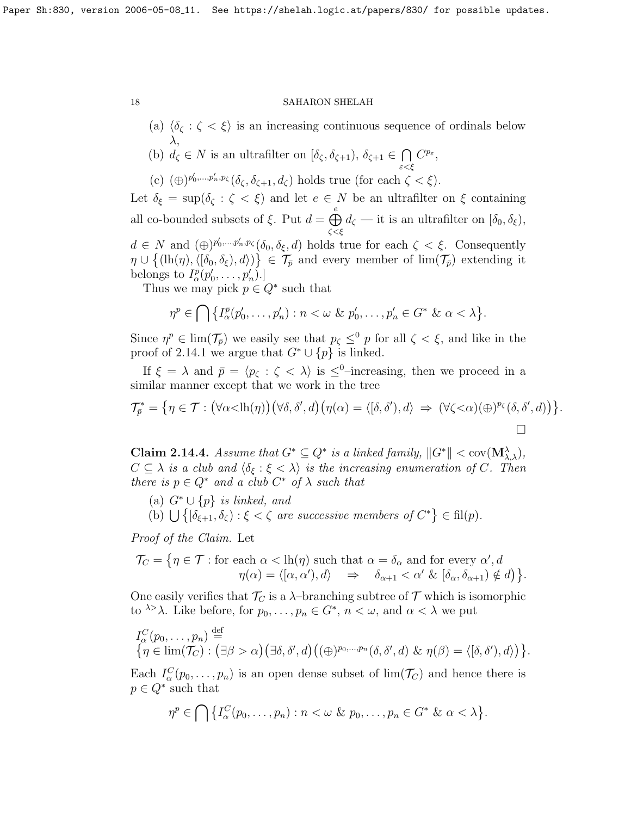- (a)  $\langle \delta_{\zeta} : \zeta \langle \xi \rangle$  is an increasing continuous sequence of ordinals below λ,
- (b)  $d_{\zeta} \in N$  is an ultrafilter on  $[\delta_{\zeta}, \delta_{\zeta+1}), \delta_{\zeta+1} \in \bigcap$ ε<ξ  $C^{p_{\varepsilon}},$
- (c)  $(\oplus)^{p'_0,\dots,p'_n,p_\zeta}$   $(\delta_{\zeta},\delta_{\zeta+1},d_{\zeta})$  holds true (for each  $\zeta<\xi$ ).

Let  $\delta_{\xi} = \sup(\delta_{\zeta} : \zeta \leq \xi)$  and let  $e \in N$  be an ultrafilter on  $\xi$  containing all co-bounded subsets of  $\xi$ . Put  $d = \bigoplus^{e}$ ζ<ξ  $d_{\zeta}$  — it is an ultrafilter on  $[\delta_0, \delta_{\xi}),$  $d \in N$  and  $(\bigoplus)^{p_0',...,p_n',p_\zeta}$  ( $\delta_0, \delta_\xi, d$ ) holds true for each  $\zeta < \xi$ . Consequently  $\eta \cup \{(\text{lh}(\eta),(\delta_0,\delta_\xi),d)\}\in \mathcal{T}_{\bar{p}}$  and every member of  $\lim(\mathcal{T}_{\bar{p}})$  extending it belongs to  $I_{\alpha}^{\bar{p}}(p_0', \ldots, p_n')$ .]

Thus we may pick  $p \in Q^*$  such that

$$
\eta^p \in \bigcap \left\{ I_{\alpha}^{\bar{p}}(p'_0, \ldots, p'_n) : n < \omega \ \& \ p'_0, \ldots, p'_n \in G^* \ \& \ \alpha < \lambda \right\}.
$$

Since  $\eta^p \in \text{lim}(\mathcal{T}_{\bar{p}})$  we easily see that  $p_{\zeta} \leq^0 p$  for all  $\zeta < \xi$ , and like in the proof of [2.14.1](#page-14-0) we argue that  $G^* \cup \{p\}$  is linked.

If  $\xi = \lambda$  and  $\bar{p} = \langle p_{\zeta} : \zeta \langle \lambda \rangle$  is  $\leq^0$ -increasing, then we proceed in a similar manner except that we work in the tree

$$
\mathcal{T}_{\bar{p}}^* = \{ \eta \in \mathcal{T} : (\forall \alpha < \mathrm{lh}(\eta)) (\forall \delta, \delta', d) (\eta(\alpha) = \langle [\delta, \delta'), d \rangle \implies (\forall \zeta < \alpha) (\oplus)^{p_{\zeta}} (\delta, \delta', d)) \}.
$$

<span id="page-17-0"></span>**Claim 2.14.4.** Assume that  $G^* \subseteq Q^*$  is a linked family,  $||G^*|| < \text{cov}(\mathbf{M}_{\lambda,\lambda}^{\lambda}),$  $C \subseteq \lambda$  is a club and  $\langle \delta_{\xi} : \xi < \lambda \rangle$  is the increasing enumeration of C. Then there is  $p \in Q^*$  and a club  $C^*$  of  $\lambda$  such that

- (a)  $G^* \cup \{p\}$  is linked, and
- (b)  $\bigcup \{ [\delta_{\xi+1}, \delta_{\zeta}) : \xi < \zeta \text{ are successive members of } C^* \} \in \text{fil}(p).$

Proof of the Claim. Let

$$
\mathcal{T}_C = \{ \eta \in \mathcal{T} : \text{for each } \alpha < \text{lh}(\eta) \text{ such that } \alpha = \delta_\alpha \text{ and for every } \alpha', d
$$
\n
$$
\eta(\alpha) = \langle [\alpha, \alpha'), d \rangle \quad \Rightarrow \quad \delta_{\alpha+1} < \alpha' \& [\delta_\alpha, \delta_{\alpha+1}) \notin d \rangle \}.
$$

One easily verifies that  $\mathcal{T}_C$  is a  $\lambda$ -branching subtree of  $\mathcal T$  which is isomorphic to  $\lambda > \lambda$ . Like before, for  $p_0, \ldots, p_n \in G^*$ ,  $n < \omega$ , and  $\alpha < \lambda$  we put

$$
I_{\alpha}^{C}(p_0, \ldots, p_n) \stackrel{\text{def}}{=} \{ \eta \in \text{lim}(\mathcal{T}_C) : (\exists \beta > \alpha) (\exists \delta, \delta', d) ((\oplus)^{p_0, \ldots, p_n}(\delta, \delta', d) \& \eta(\beta) = \langle [\delta, \delta'), d \rangle ) \}.
$$

Each  $I_{\alpha}^{C}(p_0,\ldots,p_n)$  is an open dense subset of  $\lim_{C}(\mathcal{T}_C)$  and hence there is  $p \in Q^*$  such that

$$
\eta^p \in \bigcap \big\{I_{\alpha}^C(p_0,\ldots,p_n): n < \omega \& p_0,\ldots,p_n \in G^* \& \alpha < \lambda \big\}.
$$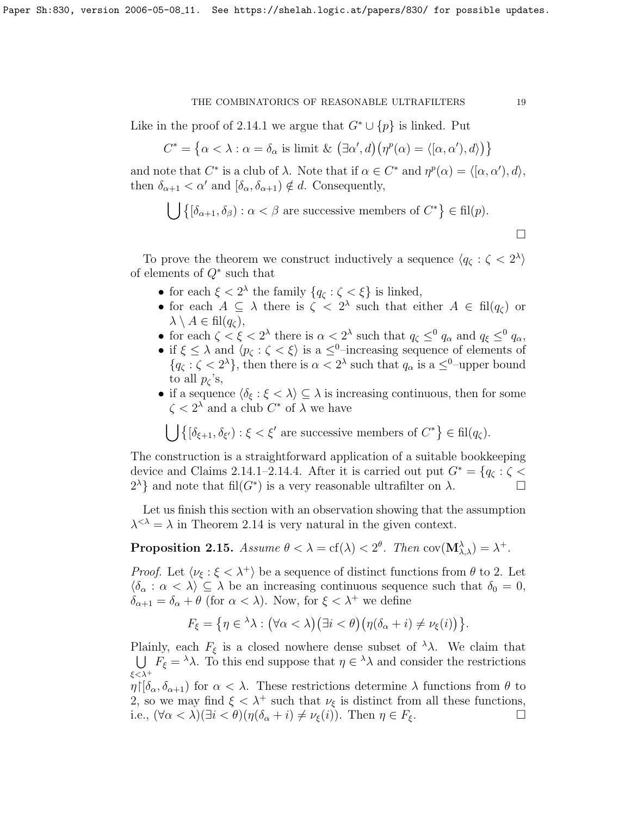Like in the proof of [2.14.1](#page-14-0) we argue that  $G^* \cup \{p\}$  is linked. Put

$$
C^* = \{ \alpha < \lambda : \alpha = \delta_\alpha \text{ is limit } \& (\exists \alpha', d) \big( \eta^p(\alpha) = \langle [\alpha, \alpha'), d \rangle \big) \}
$$

and note that  $C^*$  is a club of  $\lambda$ . Note that if  $\alpha \in C^*$  and  $\eta^p(\alpha) = \langle [\alpha, \alpha'), d \rangle$ , then  $\delta_{\alpha+1} < \alpha'$  and  $[\delta_{\alpha}, \delta_{\alpha+1}] \notin d$ . Consequently,

$$
\bigcup \big\{ [\delta_{\alpha+1}, \delta_{\beta}) : \alpha < \beta \text{ are successive members of } C^* \big\} \in \text{fil}(p).
$$

 $\Box$ 

To prove the theorem we construct inductively a sequence  $\langle q_{\zeta} : \zeta < 2^{\lambda} \rangle$ of elements of Q<sup>∗</sup> such that

- for each  $\xi < 2^{\lambda}$  the family  $\{q_{\zeta} : \zeta < \xi\}$  is linked,
- for each  $A \subseteq \lambda$  there is  $\zeta < 2^{\lambda}$  such that either  $A \in fil(q_{\zeta})$  or  $\lambda \setminus A \in \mathrm{fil}(q_c),$
- for each  $\zeta < \xi < 2^{\lambda}$  there is  $\alpha < 2^{\lambda}$  such that  $q_{\zeta} \leq^0 q_{\alpha}$  and  $q_{\xi} \leq^0 q_{\alpha}$ ,
- if  $\xi \leq \lambda$  and  $\langle p_{\zeta} : \zeta < \xi \rangle$  is a  $\leq^0$ -increasing sequence of elements of  $\{q_{\zeta} : \zeta < 2^{\lambda}\}\,$ , then there is  $\alpha < 2^{\lambda}$  such that  $q_{\alpha}$  is a  $\leq^0$ -upper bound to all  $p_{\zeta}$ 's,
- if a sequence  $\langle \delta_{\xi} : \xi < \lambda \rangle \subseteq \lambda$  is increasing continuous, then for some  $\zeta < 2^{\lambda}$  and a club  $C^*$  of  $\lambda$  we have

$$
\bigcup \big\{ [\delta_{\xi+1}, \delta_{\xi'}): \xi < \xi' \text{ are successive members of } C^* \big\} \in \text{fil}(q_\zeta).
$$

The construction is a straightforward application of a suitable bookkeeping device and Claims [2.14.1](#page-14-0)[–2.14.4.](#page-17-0) After it is carried out put  $G^* = \{q_{\zeta} : \zeta$  $2^{\lambda}$  and note that fil $(G^*)$  is a very reasonable ultrafilter on  $\lambda$ .

Let us finish this section with an observation showing that the assumption  $\lambda^{<\lambda} = \lambda$  in Theorem [2.14](#page-14-1) is very natural in the given context.

Proposition 2.15. Assume  $\theta < \lambda = cf(\lambda) < 2^{\theta}$ . Then  $cov(\mathbf{M}_{\lambda,\lambda}^{\lambda}) = \lambda^+$ .

*Proof.* Let  $\langle \nu_{\xi} : \xi < \lambda^+ \rangle$  be a sequence of distinct functions from  $\theta$  to 2. Let  $\langle \delta_{\alpha} : \alpha < \lambda \rangle \subseteq \lambda$  be an increasing continuous sequence such that  $\delta_0 = 0$ ,  $\delta_{\alpha+1} = \delta_{\alpha} + \theta$  (for  $\alpha < \lambda$ ). Now, for  $\xi < \lambda^+$  we define

$$
F_{\xi} = \{ \eta \in {}^{\lambda} \lambda : (\forall \alpha < \lambda) (\exists i < \theta) (\eta (\delta_{\alpha} + i) \neq \nu_{\xi}(i)) \}.
$$

Plainly, each  $F_{\xi}$  is a closed nowhere dense subset of  $\lambda$ . We claim that U  $\xi<\lambda^+$  $F_{\xi} = \lambda \lambda$ . To this end suppose that  $\eta \in \lambda \lambda$  and consider the restrictions

 $\eta$ [ $\delta_{\alpha}, \delta_{\alpha+1}$ ] for  $\alpha < \lambda$ . These restrictions determine  $\lambda$  functions from  $\theta$  to 2, so we may find  $\xi < \lambda^+$  such that  $\nu_{\xi}$  is distinct from all these functions, i.e.,  $(\forall \alpha < \lambda)(\exists i < \theta)(\eta(\delta_{\alpha} + i) \neq \nu_{\xi}(i))$ . Then  $\eta \in F_{\xi}$ .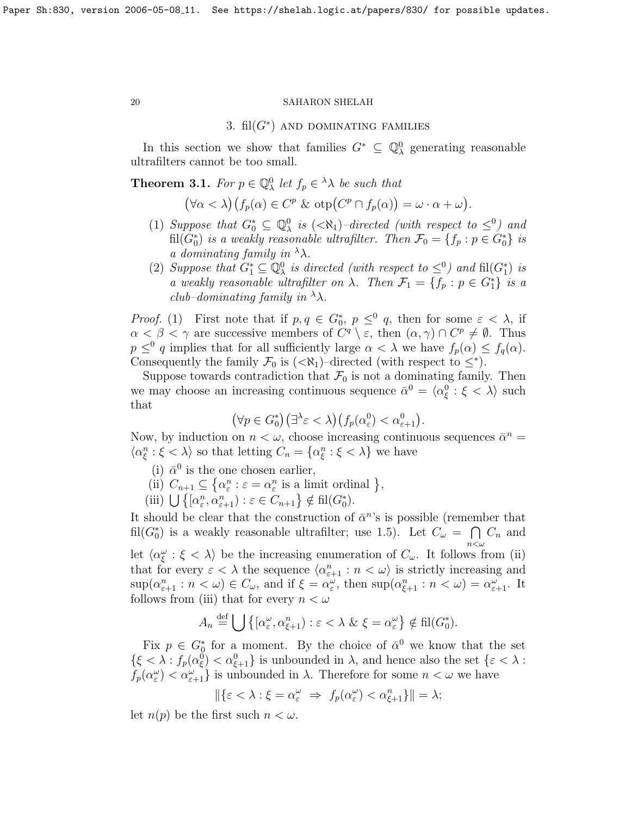# 3.  $\operatorname{fil}(G^*)$  AND DOMINATING FAMILIES

In this section we show that families  $G^* \subseteq \mathbb{Q}^0_\lambda$  generating reasonable ultrafilters cannot be too small.

<span id="page-19-0"></span>**Theorem 3.1.** For  $p \in \mathbb{Q}_{\lambda}^0$  let  $f_p \in \lambda \lambda$  be such that

$$
(\forall \alpha < \lambda) (f_p(\alpha) \in C^p \& \text{otp}(C^p \cap f_p(\alpha)) = \omega \cdot \alpha + \omega).
$$

- (1) Suppose that  $G_0^* \subseteq \mathbb{Q}_{\lambda}^0$  is  $(<\aleph_1$ )-directed (with respect to  $\leq^0$ ) and fil $(G_0^*)$  is a weakly reasonable ultrafilter. Then  $\mathcal{F}_0 = \{f_p : p \in G_0^*\}$  is a dominating family in  $\lambda$ .
- (2) Suppose that  $G_1^* \subseteq \mathbb{Q}_{\lambda}^0$  is directed (with respect to  $\leq^0$ ) and fil $(G_1^*)$  is a weakly reasonable ultrafilter on  $\lambda$ . Then  $\mathcal{F}_1 = \{f_p : p \in G_1^*\}$  is a club–dominating family in  $\lambda$ .

*Proof.* (1) First note that if  $p, q \in G_0^*, p \leq^0 q$ , then for some  $\varepsilon < \lambda$ , if  $\alpha < \beta < \gamma$  are successive members of  $C^q \setminus \varepsilon$ , then  $(\alpha, \gamma) \cap C^p \neq \emptyset$ . Thus  $p \leq^0 q$  implies that for all sufficiently large  $\alpha < \lambda$  we have  $f_p(\alpha) \leq f_q(\alpha)$ . Consequently the family  $\mathcal{F}_0$  is  $(<\aleph_1$ )–directed (with respect to  $\leq^*$ ).

Suppose towards contradiction that  $\mathcal{F}_0$  is not a dominating family. Then we may choose an increasing continuous sequence  $\bar{\alpha}^0 = \langle \alpha_{\xi}^0 : \xi < \lambda \rangle$  such that

$$
(\forall p \in G_0^*) \left(\exists^{\lambda} \varepsilon < \lambda\right) \left(f_p(\alpha^0_{\varepsilon}) < \alpha^0_{\varepsilon+1}\right).
$$

Now, by induction on  $n < \omega$ , choose increasing continuous sequences  $\bar{\alpha}^n =$  $\langle \alpha_{\xi}^{n} : \xi < \lambda \rangle$  so that letting  $C_{n} = \{ \alpha_{\xi}^{n} : \xi < \lambda \}$  we have

- (i)  $\bar{\alpha}^0$  is the one chosen earlier,
- (ii)  $C_{n+1} \subseteq \{\alpha_{\varepsilon}^n : \varepsilon = \alpha_{\varepsilon}^n \text{ is a limit ordinal }\},\$
- (iii)  $\bigcup \big\{ [\alpha_{\varepsilon}^n, \alpha_{\varepsilon+1}^n) : \varepsilon \in C_{n+1} \big\} \notin \text{fil}(G_0^*).$

It should be clear that the construction of  $\bar{\alpha}^n$ 's is possible (remember that fil $(G_0^*)$  is a weakly reasonable ultrafilter; use [1.5\)](#page-3-1). Let  $C_{\omega} = \bigcap$  $n<\omega$  $C_n$  and let  $\langle \alpha_{\xi}^{\omega} : \xi \langle \lambda \rangle$  be the increasing enumeration of  $C_{\omega}$ . It follows from (ii) that for every  $\varepsilon < \lambda$  the sequence  $\langle \alpha_{\varepsilon+1}^n : n < \omega \rangle$  is strictly increasing and  $\sup(\alpha_{\varepsilon+1}^n : n < \omega) \in C_{\omega}$ , and if  $\xi = \alpha_{\varepsilon}^{\omega}$ , then  $\sup(\alpha_{\xi+1}^n : n < \omega) = \alpha_{\varepsilon+1}^{\omega}$ . It follows from (iii) that for every  $n < \omega$ 

$$
A_n \stackrel{\text{def}}{=} \bigcup \left\{ [\alpha_{\varepsilon}^{\omega}, \alpha_{\xi+1}^n) : \varepsilon < \lambda \ \& \ \xi = \alpha_{\varepsilon}^{\omega} \right\} \notin \text{fil}(G_0^*).
$$

Fix  $p \in G_0^*$  for a moment. By the choice of  $\bar{\alpha}^0$  we know that the set  $\{\xi < \lambda : f_p(\alpha_{\xi}^0) < \alpha_{\xi+1}^0\}$  is unbounded in  $\lambda$ , and hence also the set  $\{\varepsilon < \lambda :$  $f_p(\alpha_\varepsilon^\omega) < \alpha_{\varepsilon+1}^\omega$  is unbounded in  $\lambda$ . Therefore for some  $n < \omega$  we have

$$
\|\{\varepsilon < \lambda : \xi = \alpha_\varepsilon^\omega \ \Rightarrow \ f_p(\alpha_\varepsilon^\omega) < \alpha_{\xi+1}^n\}\| = \lambda;
$$

let  $n(p)$  be the first such  $n < \omega$ .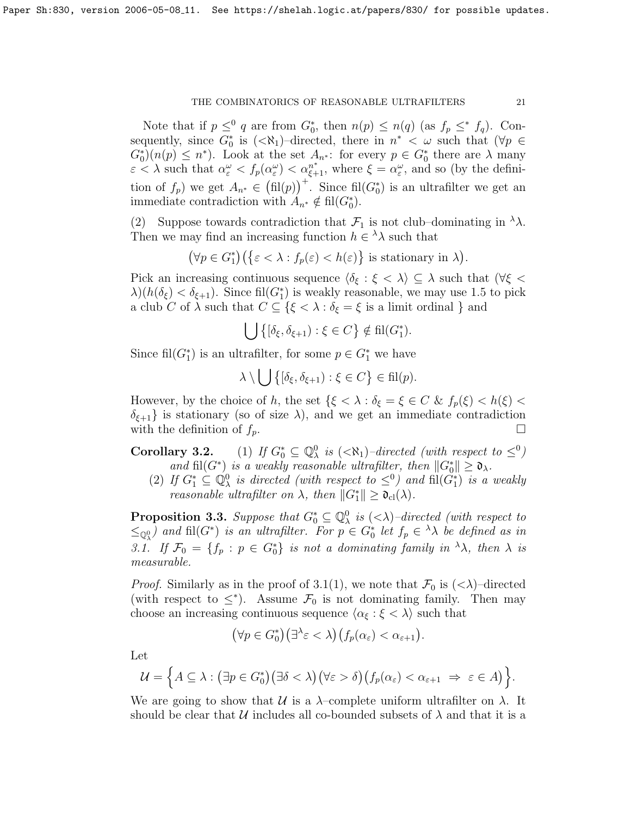Note that if  $p \leq^0 q$  are from  $G_0^*$ , then  $n(p) \leq n(q)$  (as  $f_p \leq^* f_q$ ). Consequently, since  $G_0^*$  is  $(<\aleph_1$ )–directed, there in  $n^* < \omega$  such that  $(\forall p \in$  $G_0^*(n(p) \leq n^*)$ . Look at the set  $A_{n^*}$ : for every  $p \in G_0^*$  there are  $\lambda$  many  $\varepsilon < \lambda$  such that  $\alpha_{\varepsilon}^{\omega} < f_p(\alpha_{\varepsilon}^{\omega}) < \alpha_{\xi+1}^{n^*}$ , where  $\xi = \alpha_{\varepsilon}^{\omega}$ , and so (by the definition of  $f_p$ ) we get  $A_{n^*} \in (\text{fil}(p))$ <sup>+</sup>. Since  $\text{fil}(G_0^*)$  is an ultrafilter we get an immediate contradiction with  $A_{n^*} \notin \text{fil}(G_0^*)$ .

(2) Suppose towards contradiction that  $\mathcal{F}_1$  is not club-dominating in  $\lambda \lambda$ . Then we may find an increasing function  $h \in \lambda \lambda$  such that

$$
(\forall p \in G_1^*) \left( \{\varepsilon < \lambda : f_p(\varepsilon) < h(\varepsilon) \} \text{ is stationary in } \lambda \right).
$$

Pick an increasing continuous sequence  $\langle \delta_{\xi} : \xi < \lambda \rangle \subseteq \lambda$  such that  $(\forall \xi <$  $\lambda$ )( $h(\delta_{\xi}) < \delta_{\xi+1}$ ). Since fil( $G_1^*$ ) is weakly reasonable, we may use [1.5](#page-3-1) to pick a club C of  $\lambda$  such that  $C \subseteq \{ \xi < \lambda : \delta_{\xi} = \xi \text{ is a limit ordinal } \}$  and

$$
\bigcup \big\{ [\delta_{\xi}, \delta_{\xi+1}) : \xi \in C \big\} \notin \text{fil}(G_1^*).
$$

Since fil $(G_1^*)$  is an ultrafilter, for some  $p \in G_1^*$  we have

$$
\lambda \setminus \bigcup \big\{ [\delta_{\xi}, \delta_{\xi+1}) : \xi \in C \big\} \in \text{fil}(p).
$$

However, by the choice of h, the set  $\{\xi < \lambda : \delta_{\xi} = \xi \in C \& f_p(\xi) < h(\xi)$  $\delta_{\xi+1}$  is stationary (so of size  $\lambda$ ), and we get an immediate contradiction with the definition of  $f_p$ .

Corollary 3.2.  $\mathcal{O}_0^0 \subseteq \mathbb{Q}^0_\lambda$  is  $(<\aleph_1)$ -directed (with respect to  $\leq^0$ ) and fil $(G^*)$  is a weakly reasonable ultrafilter, then  $||G_0^*|| \ge \mathfrak{d}_{\lambda}$ .

(2) If  $G_1^* \subseteq \mathbb{Q}_{\lambda}^0$  is directed (with respect to  $\leq^0$ ) and  $\widehat{\mathrm{fil}}(G_1^*)$  is a weakly reasonable ultrafilter on  $\lambda$ , then  $||G_1^*|| \ge \mathfrak{d}_{cl}(\lambda)$ .

**Proposition 3.3.** Suppose that  $G_0^* \subseteq \mathbb{Q}_{\lambda}^0$  is  $( $\lambda$ )-directed (with respect to$  $\leq_{\mathbb{Q}_{\lambda}^0}$  and fil $(G^*)$  is an ultrafilter. For  $p \in G_0^*$  let  $f_p \in \lambda_{\lambda}$  be defined as in [3.1.](#page-19-0) If  $\mathcal{F}_0 = \{f_p : p \in G_0^*\}$  is not a dominating family in  $\lambda \lambda$ , then  $\lambda$  is measurable.

*Proof.* Similarly as in the proof of [3.1\(](#page-19-0)1), we note that  $\mathcal{F}_0$  is  $( $\lambda$ )-directed$ (with respect to  $\leq^*$ ). Assume  $\mathcal{F}_0$  is not dominating family. Then may choose an increasing continuous sequence  $\langle \alpha_{\xi} : \xi < \lambda \rangle$  such that

$$
(\forall p \in G_0^*) \big(\exists^{\lambda} \varepsilon < \lambda \big) \big(f_p(\alpha_{\varepsilon}) < \alpha_{\varepsilon+1}\big).
$$

Let

$$
\mathcal{U} = \Big\{ A \subseteq \lambda : \big( \exists p \in G_0^* \big) \big( \exists \delta < \lambda \big) \big( \forall \varepsilon > \delta \big) \big( f_p(\alpha_{\varepsilon}) < \alpha_{\varepsilon+1} \Rightarrow \varepsilon \in A \big) \Big\}.
$$

We are going to show that U is a  $\lambda$ -complete uniform ultrafilter on  $\lambda$ . It should be clear that U includes all co-bounded subsets of  $\lambda$  and that it is a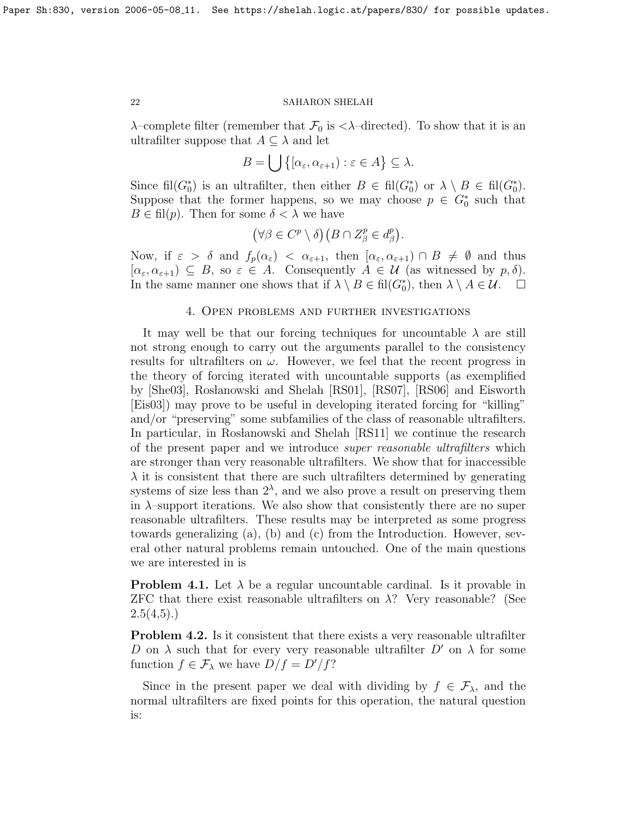$\lambda$ -complete filter (remember that  $\mathcal{F}_0$  is  $\langle \lambda$ -directed). To show that it is an ultrafilter suppose that  $A \subseteq \lambda$  and let

$$
B = \bigcup \{ [\alpha_{\varepsilon}, \alpha_{\varepsilon + 1}) : \varepsilon \in A \} \subseteq \lambda.
$$

Since fil $(G_0^*)$  is an ultrafilter, then either  $B \in fil(G_0^*)$  or  $\lambda \setminus B \in fil(G_0^*)$ . Suppose that the former happens, so we may choose  $p \in G_0^*$  such that  $B \in \text{fil}(p)$ . Then for some  $\delta < \lambda$  we have

$$
(\forall \beta \in C^p \setminus \delta) (B \cap Z_{\beta}^p \in d_{\beta}^p).
$$

Now, if  $\varepsilon > \delta$  and  $f_p(\alpha_{\varepsilon}) < \alpha_{\varepsilon+1}$ , then  $[\alpha_{\varepsilon}, \alpha_{\varepsilon+1}) \cap B \neq \emptyset$  and thus  $[\alpha_{\varepsilon}, \alpha_{\varepsilon+1}) \subseteq B$ , so  $\varepsilon \in A$ . Consequently  $A \in \mathcal{U}$  (as witnessed by  $p, \delta$ ). In the same manner one shows that if  $\lambda \setminus B \in \text{fil}(G_0^*)$ , then  $\lambda \setminus A \in \mathcal{U}$ .

# 4. Open problems and further investigations

It may well be that our forcing techniques for uncountable  $\lambda$  are still not strong enough to carry out the arguments parallel to the consistency results for ultrafilters on  $\omega$ . However, we feel that the recent progress in the theory of forcing iterated with uncountable supports (as exemplified by [\[She03\]](#page-23-1), Rosłanowski and Shelah [\[RS01\]](#page-22-8), [\[RS07\]](#page-22-6), [\[RS06\]](#page-22-9) and Eisworth [\[Eis03\]](#page-22-10)) may prove to be useful in developing iterated forcing for "killing" and/or "preserving" some subfamilies of the class of reasonable ultrafilters. In particular, in Roslanowski and Shelah [\[RS11\]](#page-23-2) we continue the research of the present paper and we introduce super reasonable ultrafilters which are stronger than very reasonable ultrafilters. We show that for inaccessible  $\lambda$  it is consistent that there are such ultrafilters determined by generating systems of size less than  $2^{\lambda}$ , and we also prove a result on preserving them in  $\lambda$ -support iterations. We also show that consistently there are no super reasonable ultrafilters. These results may be interpreted as some progress towards generalizing (a), (b) and (c) from the Introduction. However, several other natural problems remain untouched. One of the main questions we are interested in is

**Problem 4.1.** Let  $\lambda$  be a regular uncountable cardinal. Is it provable in  $ZFC$  that there exist reasonable ultrafilters on  $\lambda$ ? Very reasonable? (See  $2.5(4,5)$  $2.5(4,5)$ .

Problem 4.2. Is it consistent that there exists a very reasonable ultrafilter D on  $\lambda$  such that for every very reasonable ultrafilter D' on  $\lambda$  for some function  $f \in \mathcal{F}_{\lambda}$  we have  $D/f = D'/f$ ?

Since in the present paper we deal with dividing by  $f \in \mathcal{F}_{\lambda}$ , and the normal ultrafilters are fixed points for this operation, the natural question is: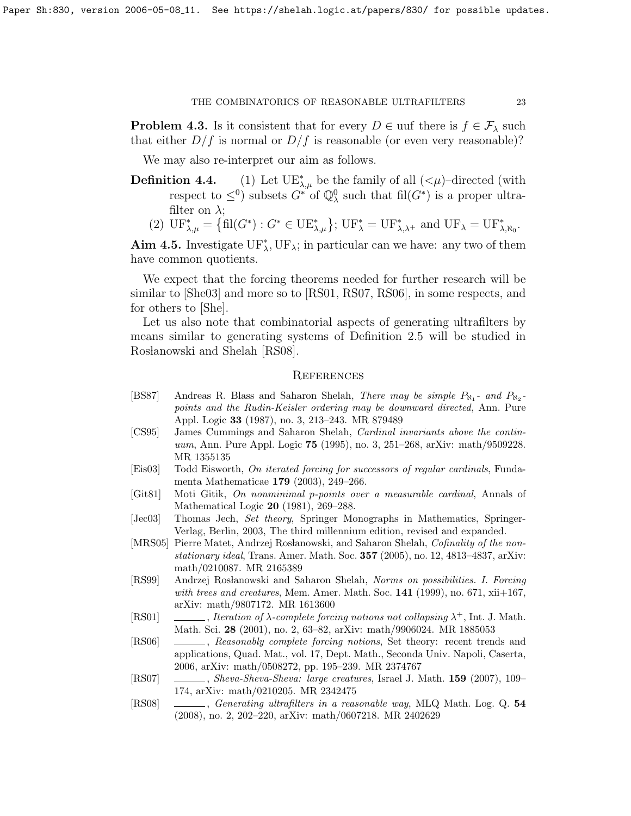**Problem 4.3.** Is it consistent that for every  $D \in \text{uuf}$  there is  $f \in \mathcal{F}_{\lambda}$  such that either  $D/f$  is normal or  $D/f$  is reasonable (or even very reasonable)?

We may also re-interpret our aim as follows.

- Definition 4.4. (1) Let  $UE^*_{\lambda,\mu}$  be the family of all  $( $\mu$ )-directed (with$ respect to  $\leq^0$ ) subsets  $G^*$  of  $\mathbb{Q}^0_\lambda$  such that fil $(G^*)$  is a proper ultrafilter on  $\lambda$ ;
	- (2)  $\mathrm{UF}^*_{\lambda,\mu} = \left\{ \mathrm{fil}(G^*) : G^* \in \mathrm{UE}^*_{\lambda,\mu} \right\}; \mathrm{UF}^*_{\lambda} = \mathrm{UF}^*_{\lambda,\lambda^+} \text{ and } \mathrm{UF}_{\lambda} = \mathrm{UF}^*_{\lambda,\aleph_0}.$

Aim 4.5. Investigate  $UF_{\lambda}^*$ ,  $UF_{\lambda}$ ; in particular can we have: any two of them have common quotients.

We expect that the forcing theorems needed for further research will be similar to [\[She03\]](#page-23-1) and more so to [\[RS01,](#page-22-8) [RS07,](#page-22-6) [RS06\]](#page-22-9), in some respects, and for others to [\[She\]](#page-23-3).

Let us also note that combinatorial aspects of generating ultrafilters by means similar to generating systems of Definition [2.5](#page-0-0) will be studied in Rosłanowski and Shelah [\[RS08\]](#page-22-5).

# **REFERENCES**

- <span id="page-22-1"></span>[BS87] Andreas R. Blass and Saharon Shelah, *There may be simple P*<sub>N<sub>1</sub></sub>- and P<sub>N<sub>2</sub></sub>points and the Rudin-Keisler ordering may be downward directed, Ann. Pure Appl. Logic 33 (1987), no. 3, 213–243. MR 879489
- <span id="page-22-4"></span>[CS95] James Cummings and Saharon Shelah, Cardinal invariants above the continuum, Ann. Pure Appl. Logic 75 (1995), no. 3, 251–268, [arXiv: math/9509228.](https://arxiv.org/abs/math/9509228) MR 1355135
- <span id="page-22-10"></span>[Eis03] Todd Eisworth, On iterated forcing for successors of regular cardinals, Fundamenta Mathematicae 179 (2003), 249–266.
- <span id="page-22-2"></span>[Git81] Moti Gitik, On nonminimal p-points over a measurable cardinal, Annals of Mathematical Logic 20 (1981), 269–288.
- <span id="page-22-3"></span>[Jec03] Thomas Jech, Set theory, Springer Monographs in Mathematics, Springer-Verlag, Berlin, 2003, The third millennium edition, revised and expanded.
- <span id="page-22-7"></span>[MRS05] Pierre Matet, Andrzej Rosłanowski, and Saharon Shelah, Cofinality of the nonstationary ideal, Trans. Amer. Math. Soc.  $357$  (2005), no. 12, 4813-4837, [arXiv:](https://arxiv.org/abs/math/0210087) [math/0210087.](https://arxiv.org/abs/math/0210087) MR 2165389
- <span id="page-22-0"></span>[RS99] Andrzej Rosłanowski and Saharon Shelah, Norms on possibilities. I. Forcing with trees and creatures, Mem. Amer. Math. Soc.  $141$  (1999), no. 671, xii+167, [arXiv: math/9807172.](https://arxiv.org/abs/math/9807172) MR 1613600
- <span id="page-22-8"></span>[RS01] , Iteration of  $\lambda$ -complete forcing notions not collapsing  $\lambda^+$ , Int. J. Math. Math. Sci. 28 (2001), no. 2, 63–82, [arXiv: math/9906024.](https://arxiv.org/abs/math/9906024) MR 1885053
- <span id="page-22-9"></span>[RS06] , Reasonably complete forcing notions, Set theory: recent trends and applications, Quad. Mat., vol. 17, Dept. Math., Seconda Univ. Napoli, Caserta, 2006, [arXiv: math/0508272,](https://arxiv.org/abs/math/0508272) pp. 195–239. MR 2374767
- <span id="page-22-6"></span>[RS07] , Sheva-Sheva-Sheva: large creatures, Israel J. Math. 159 (2007), 109– 174, [arXiv: math/0210205.](https://arxiv.org/abs/math/0210205) MR 2342475
- <span id="page-22-5"></span>[RS08] , Generating ultrafilters in a reasonable way, MLQ Math. Log. Q. 54 (2008), no. 2, 202–220, [arXiv: math/0607218.](https://arxiv.org/abs/math/0607218) MR 2402629